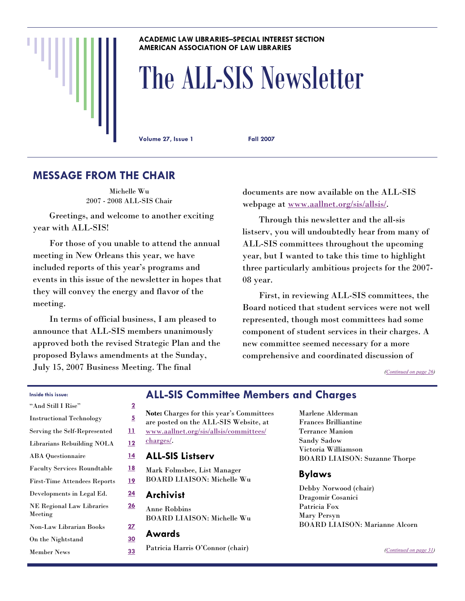### **ACADEMIC LAW LIBRARIES–SPECIAL INTEREST SECTION AMERICAN ASSOCIATION OF LAW LIBRARIES**

# The ALL-SIS Newsletter

**Volume 27, Issue 1 Fall 2007** 

# **MESSAGE FROM THE CHAIR**

Michelle Wu 2007 - 2008 ALL-SIS Chair

 Greetings, and welcome to another exciting year with ALL-SIS!

 For those of you unable to attend the annual meeting in New Orleans this year, we have included reports of this year's programs and events in this issue of the newsletter in hopes that they will convey the energy and flavor of the meeting.

 In terms of official business, I am pleased to announce that ALL-SIS members unanimously approved both the revised Strategic Plan and the proposed Bylaws amendments at the Sunday, July 15, 2007 Business Meeting. The final

documents are now available on the ALL-SIS webpage at [www.aallnet.org/sis/allsis/](http://www.aallnet.org/sis/allsis/).

 Through this newsletter and the all-sis listserv, you will undoubtedly hear from many of ALL-SIS committees throughout the upcoming year, but I wanted to take this time to highlight three particularly ambitious projects for the 2007- 08 year.

 First, in reviewing ALL-SIS committees, the Board noticed that student services were not well represented, though most committees had some component of student services in their charges. A new committee seemed necessary for a more comprehensive and coordinated discussion of

*([Continued on page 26\)](#page-25-0)* 

### **Inside this issue:**

| "And Still I Rise"                          | $\overline{2}$ |
|---------------------------------------------|----------------|
| <b>Instructional Technology</b>             | <u>5</u>       |
| Serving the Self-Represented                | <u> 11</u>     |
| <b>Librarians Rebuilding NOLA</b>           | 12             |
| <b>ABA</b> Questionnaire                    | <u>14</u>      |
| <b>Faculty Services Roundtable</b>          | <u> 18</u>     |
| <b>First-Time Attendees Reports</b>         | <u> 19</u>     |
| Developments in Legal Ed.                   | 24             |
| <b>NE Regional Law Libraries</b><br>Meeting | <u> 26</u>     |
| Non-Law Librarian Books                     | <u>27</u>      |
| On the Nightstand                           | 30             |
| <b>Member News</b>                          | 33             |

# **ALL-SIS Committee Members and Charges**

**Note:** Charges for this year's Committees are posted on the ALL-SIS Website, at [www.aallnet.org/sis/allsis/committees/](http://www.aallnet.org/sis/allsis/committees/charges/) [charges/](http://www.aallnet.org/sis/allsis/committees/charges/). **ALL-SIS Listserv** 

Mark Folmsbee, List Manager BOARD LIAISON: Michelle Wu

**Archivist** 

Anne Robbins BOARD LIAISON: Michelle Wu

### **Awards**

Patricia Harris O'Connor (chair)

Marlene Alderman Frances Brilliantine Terrance Manion Sandy Sadow Victoria Williamson BOARD LIAISON: Suzanne Thorpe

### **Bylaws**

Debby Norwood (chair) Dragomir Cosanici Patricia Fox Mary Persyn BOARD LIAISON: Marianne Alcorn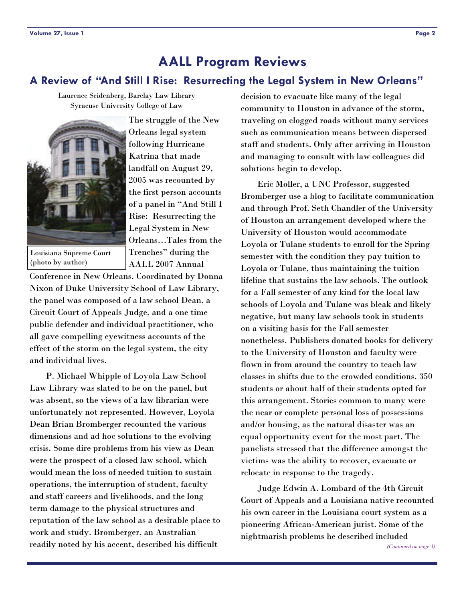# <span id="page-1-0"></span>**A Review of "And Still I Rise: Resurrecting the Legal System in New Orleans"**

Laurence Seidenberg, Barclay Law Library Syracuse University College of Law



(photo by author)

The struggle of the New Orleans legal system following Hurricane Katrina that made landfall on August 29, 2005 was recounted by the first person accounts of a panel in "And Still I Rise: Resurrecting the Legal System in New Orleans…Tales from the Trenches" during the AALL 2007 Annual

Conference in New Orleans. Coordinated by Donna Nixon of Duke University School of Law Library, the panel was composed of a law school Dean, a Circuit Court of Appeals Judge, and a one time public defender and individual practitioner, who all gave compelling eyewitness accounts of the effect of the storm on the legal system, the city and individual lives.

 P. Michael Whipple of Loyola Law School Law Library was slated to be on the panel, but was absent, so the views of a law librarian were unfortunately not represented. However, Loyola Dean Brian Bromberger recounted the various dimensions and ad hoc solutions to the evolving crisis. Some dire problems from his view as Dean were the prospect of a closed law school, which would mean the loss of needed tuition to sustain operations, the interruption of student, faculty and staff careers and livelihoods, and the long term damage to the physical structures and reputation of the law school as a desirable place to work and study. Bromberger, an Australian readily noted by his accent, described his difficult

decision to evacuate like many of the legal community to Houston in advance of the storm, traveling on clogged roads without many services such as communication means between dispersed staff and students. Only after arriving in Houston and managing to consult with law colleagues did solutions begin to develop.

 Eric Moller, a UNC Professor, suggested Bromberger use a blog to facilitate communication and through Prof. Seth Chandler of the University of Houston an arrangement developed where the University of Houston would accommodate Loyola or Tulane students to enroll for the Spring semester with the condition they pay tuition to Loyola or Tulane, thus maintaining the tuition lifeline that sustains the law schools. The outlook for a Fall semester of any kind for the local law schools of Loyola and Tulane was bleak and likely negative, but many law schools took in students on a visiting basis for the Fall semester nonetheless. Publishers donated books for delivery to the University of Houston and faculty were flown in from around the country to teach law classes in shifts due to the crowded conditions. 350 students or about half of their students opted for this arrangement. Stories common to many were the near or complete personal loss of possessions and/or housing, as the natural disaster was an equal opportunity event for the most part. The panelists stressed that the difference amongst the victims was the ability to recover, evacuate or relocate in response to the tragedy.

 Judge Edwin A. Lombard of the 4th Circuit Court of Appeals and a Louisiana native recounted his own career in the Louisiana court system as a pioneering African-American jurist. Some of the nightmarish problems he described included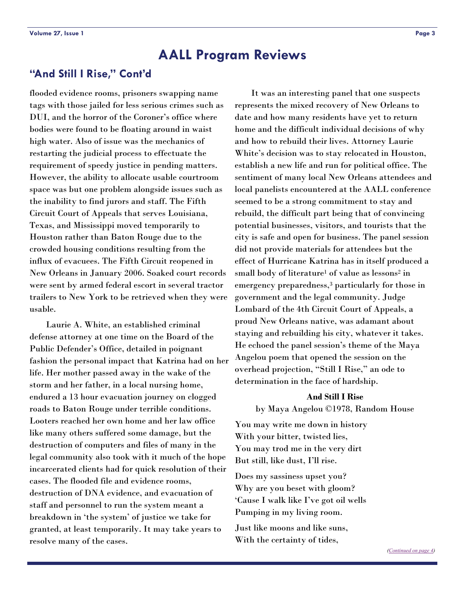# <span id="page-2-0"></span>**"And Still I Rise," Cont'd**

flooded evidence rooms, prisoners swapping name tags with those jailed for less serious crimes such as DUI, and the horror of the Coroner's office where bodies were found to be floating around in waist high water. Also of issue was the mechanics of restarting the judicial process to effectuate the requirement of speedy justice in pending matters. However, the ability to allocate usable courtroom space was but one problem alongside issues such as the inability to find jurors and staff. The Fifth Circuit Court of Appeals that serves Louisiana, Texas, and Mississippi moved temporarily to Houston rather than Baton Rouge due to the crowded housing conditions resulting from the influx of evacuees. The Fifth Circuit reopened in New Orleans in January 2006. Soaked court records were sent by armed federal escort in several tractor trailers to New York to be retrieved when they were usable.

 Laurie A. White, an established criminal defense attorney at one time on the Board of the Public Defender's Office, detailed in poignant fashion the personal impact that Katrina had on her life. Her mother passed away in the wake of the storm and her father, in a local nursing home, endured a 13 hour evacuation journey on clogged roads to Baton Rouge under terrible conditions. Looters reached her own home and her law office like many others suffered some damage, but the destruction of computers and files of many in the legal community also took with it much of the hope incarcerated clients had for quick resolution of their cases. The flooded file and evidence rooms, destruction of DNA evidence, and evacuation of staff and personnel to run the system meant a breakdown in 'the system' of justice we take for granted, at least temporarily. It may take years to resolve many of the cases.

 It was an interesting panel that one suspects represents the mixed recovery of New Orleans to date and how many residents have yet to return home and the difficult individual decisions of why and how to rebuild their lives. Attorney Laurie White's decision was to stay relocated in Houston, establish a new life and run for political office. The sentiment of many local New Orleans attendees and local panelists encountered at the AALL conference seemed to be a strong commitment to stay and rebuild, the difficult part being that of convincing potential businesses, visitors, and tourists that the city is safe and open for business. The panel session did not provide materials for attendees but the effect of Hurricane Katrina has in itself produced a small body of literature<sup>1</sup> of value as lessons<sup>2</sup> in emergency preparedness,<sup>3</sup> particularly for those in government and the legal community. Judge Lombard of the 4th Circuit Court of Appeals, a proud New Orleans native, was adamant about staying and rebuilding his city, whatever it takes. He echoed the panel session's theme of the Maya Angelou poem that opened the session on the overhead projection, "Still I Rise," an ode to determination in the face of hardship.

### **And Still I Rise**

by Maya Angelou ©1978, Random House

You may write me down in history With your bitter, twisted lies, You may trod me in the very dirt But still, like dust, I'll rise.

Does my sassiness upset you? Why are you beset with gloom? 'Cause I walk like I've got oil wells Pumping in my living room.

Just like moons and like suns, With the certainty of tides,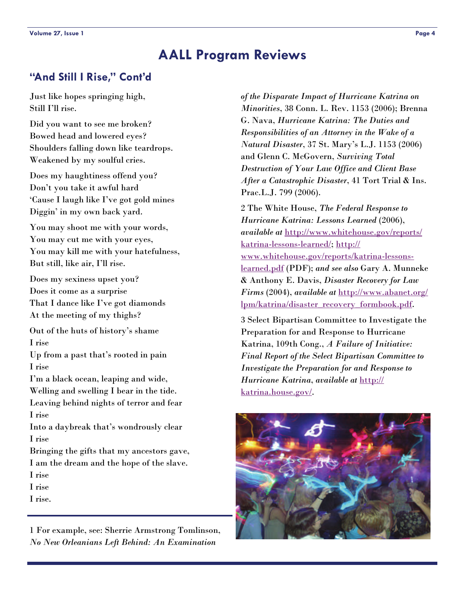# <span id="page-3-0"></span>**"And Still I Rise," Cont'd**

Just like hopes springing high, Still I'll rise.

Did you want to see me broken? Bowed head and lowered eyes? Shoulders falling down like teardrops. Weakened by my soulful cries.

Does my haughtiness offend you? Don't you take it awful hard 'Cause I laugh like I've got gold mines Diggin' in my own back yard.

You may shoot me with your words, You may cut me with your eyes, You may kill me with your hatefulness, But still, like air, I'll rise.

Does my sexiness upset you? Does it come as a surprise That I dance like I've got diamonds At the meeting of my thighs?

Out of the huts of history's shame I rise

Up from a past that's rooted in pain I rise

I'm a black ocean, leaping and wide, Welling and swelling I bear in the tide. Leaving behind nights of terror and fear I rise

Into a daybreak that's wondrously clear I rise

Bringing the gifts that my ancestors gave, I am the dream and the hope of the slave.

I rise

I rise

I rise.

1 For example, see: Sherrie Armstrong Tomlinson, *No New Orleanians Left Behind: An Examination* 

*of the Disparate Impact of Hurricane Katrina on Minorities*, 38 Conn. L. Rev. 1153 (2006); Brenna G. Nava, *Hurricane Katrina: The Duties and Responsibilities of an Attorney in the Wake of a Natural Disaster*, 37 St. Mary's L.J. 1153 (2006) and Glenn C. McGovern, *Surviving Total Destruction of Your Law Office and Client Base After a Catastrophic Disaster*, 41 Tort Trial & Ins. Prac.L.J. 799 (2006).

2 The White House, *The Federal Response to Hurricane Katrina: Lessons Learned* (2006), *available at* [http://www.whitehouse.gov/reports/](http://www.whitehouse.gov/reports/katrina-lessons-learned/) [katrina-lessons-learned/](http://www.whitehouse.gov/reports/katrina-lessons-learned/); [http://](http://www.whitehouse.gov/reports/katrina-lessons-learned.pdf) [www.whitehouse.gov/reports/katrina-lessons](http://www.whitehouse.gov/reports/katrina-lessons-learned.pdf)[learned.pdf](http://www.whitehouse.gov/reports/katrina-lessons-learned.pdf) (PDF); *and see also* Gary A. Munneke & Anthony E. Davis, *Disaster Recovery for Law Firms* (2004), *available at* [http://www.abanet.org/](http://www.abanet.org/lpm/katrina/disaster_recovery_formbook.pdf) [lpm/katrina/disaster\\_recovery\\_formbook.pdf](http://www.abanet.org/lpm/katrina/disaster_recovery_formbook.pdf).

3 Select Bipartisan Committee to Investigate the Preparation for and Response to Hurricane Katrina, 109th Cong., *A Failure of Initiative: Final Report of the Select Bipartisan Committee to Investigate the Preparation for and Response to Hurricane Katrina*, *available at* [http://](http://katrina.house.gov/) [katrina.house.gov/](http://katrina.house.gov/).

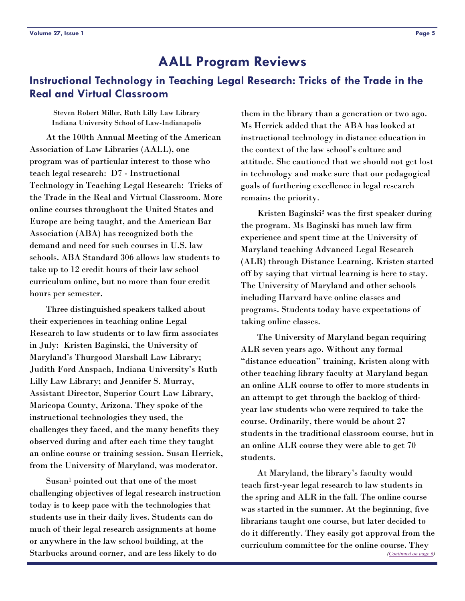# <span id="page-4-0"></span>**Instructional Technology in Teaching Legal Research: Tricks of the Trade in the Real and Virtual Classroom**

Steven Robert Miller, Ruth Lilly Law Library Indiana University School of Law-Indianapolis

 At the 100th Annual Meeting of the American Association of Law Libraries (AALL), one program was of particular interest to those who teach legal research: D7 - Instructional Technology in Teaching Legal Research: Tricks of the Trade in the Real and Virtual Classroom. More online courses throughout the United States and Europe are being taught, and the American Bar Association (ABA) has recognized both the demand and need for such courses in U.S. law schools. ABA Standard 306 allows law students to take up to 12 credit hours of their law school curriculum online, but no more than four credit hours per semester.

 Three distinguished speakers talked about their experiences in teaching online Legal Research to law students or to law firm associates in July: Kristen Baginski, the University of Maryland's Thurgood Marshall Law Library; Judith Ford Anspach, Indiana University's Ruth Lilly Law Library; and Jennifer S. Murray, Assistant Director, Superior Court Law Library, Maricopa County, Arizona. They spoke of the instructional technologies they used, the challenges they faced, and the many benefits they observed during and after each time they taught an online course or training session. Susan Herrick, from the University of Maryland, was moderator.

Susan<sup>1</sup> pointed out that one of the most challenging objectives of legal research instruction today is to keep pace with the technologies that students use in their daily lives. Students can do much of their legal research assignments at home or anywhere in the law school building, at the Starbucks around corner, and are less likely to do

them in the library than a generation or two ago. Ms Herrick added that the ABA has looked at instructional technology in distance education in the context of the law school's culture and attitude. She cautioned that we should not get lost in technology and make sure that our pedagogical goals of furthering excellence in legal research remains the priority.

Kristen Baginski<sup>2</sup> was the first speaker during the program. Ms Baginski has much law firm experience and spent time at the University of Maryland teaching Advanced Legal Research (ALR) through Distance Learning. Kristen started off by saying that virtual learning is here to stay. The University of Maryland and other schools including Harvard have online classes and programs. Students today have expectations of taking online classes.

 The University of Maryland began requiring ALR seven years ago. Without any formal "distance education" training, Kristen along with other teaching library faculty at Maryland began an online ALR course to offer to more students in an attempt to get through the backlog of thirdyear law students who were required to take the course. Ordinarily, there would be about 27 students in the traditional classroom course, but in an online ALR course they were able to get 70 students.

 At Maryland, the library's faculty would teach first-year legal research to law students in the spring and ALR in the fall. The online course was started in the summer. At the beginning, five librarians taught one course, but later decided to do it differently. They easily got approval from the curriculum committee for the online course. They *[\(Continued on page 6\)](#page-5-0)*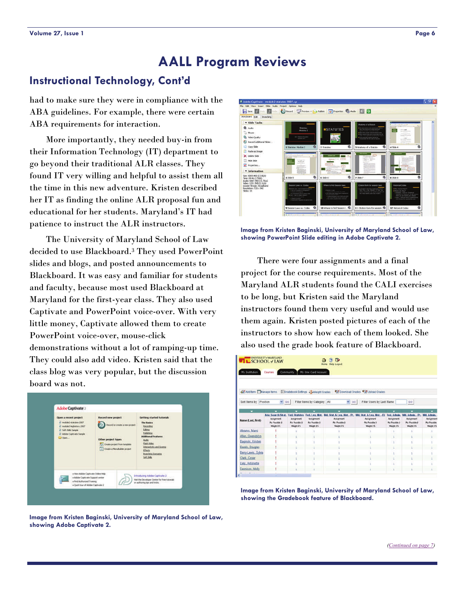# <span id="page-5-0"></span>**Instructional Technology, Cont'd**

had to make sure they were in compliance with the ABA guidelines. For example, there were certain ABA requirements for interaction.

 More importantly, they needed buy-in from their Information Technology (IT) department to go beyond their traditional ALR classes. They found IT very willing and helpful to assist them all the time in this new adventure. Kristen described her IT as finding the online ALR proposal fun and educational for her students. Maryland's IT had patience to instruct the ALR instructors.

 The University of Maryland School of Law decided to use Blackboard.3 They used PowerPoint slides and blogs, and posted announcements to Blackboard. It was easy and familiar for students and faculty, because most used Blackboard at Maryland for the first-year class. They also used Captivate and PowerPoint voice-over. With very little money, Captivate allowed them to create PowerPoint voice-over, mouse-click demonstrations without a lot of ramping-up time. They could also add video. Kristen said that the class blog was very popular, but the discussion board was not.



**Image from Kristen Baginski, University of Maryland School of Law, showing Adobe Captivate 2.** 



**Image from Kristen Baginski, University of Maryland School of Law, showing PowerPoint Slide editing in Adobe Captivate 2.** 

 There were four assignments and a final project for the course requirements. Most of the Maryland ALR students found the CALI exercises to be long, but Kristen said the Maryland instructors found them very useful and would use them again. Kristen posted pictures of each of the instructors to show how each of them looked. She also used the grade book feature of Blackboard.

| $\blacksquare$ SCHOOL + LAW<br>My Institution | UNIVERSITY-/ MARYLAND<br>Courses                                               | Community                                                                | My One Card Account                                                                  | $\mathbb{D}$<br>論<br>Θ<br><b>Help Legent</b><br><b>Hame</b>                              |                                                                                           |                                                                                |                                                                        |                                                                      |
|-----------------------------------------------|--------------------------------------------------------------------------------|--------------------------------------------------------------------------|--------------------------------------------------------------------------------------|------------------------------------------------------------------------------------------|-------------------------------------------------------------------------------------------|--------------------------------------------------------------------------------|------------------------------------------------------------------------|----------------------------------------------------------------------|
| of Add flem Manage flems                      |                                                                                |                                                                          | Cradebook Settings & Weight Grades                                                   |                                                                                          | Art Download Orades 9 o' Upload Orades                                                    |                                                                                |                                                                        |                                                                      |
| Sort Items by Position                        | $\frac{4}{100}$                                                                |                                                                          | Filter Items by Category All                                                         | $\vee$ 00                                                                                | Filter Users by Last Name                                                                 |                                                                                | GO.                                                                    |                                                                      |
| ۰                                             | ۰                                                                              |                                                                          | ۰                                                                                    | ۰                                                                                        | ۰                                                                                         | ۰                                                                              | -                                                                      |                                                                      |
| Name (Last, First)                            | Adv. Search Strat.<br><b>Ausignment</b><br><b>Prc Possible D</b><br>Weight STL | <b>Fed. Statutes</b><br><b>Ausignment</b><br>Pts Possible D<br>Weight 0% | Fed. Leg. Hist.<br><b>Azzi gryment</b><br><b>Phy Possible D</b><br><b>Weight D'L</b> | Md. Stat. & Leg. Hist. - Pr.<br><b>Assignment</b><br><b>Phy Populate D</b><br>Weight D'S | Md, Stat, & Leg, Hist. - El.<br><b>Azzi gnewerk</b><br><b>Phy Possible D</b><br>Weight 01 | <b>Fed. Admin.</b><br><b>Autonoment</b><br><b>Phy Possible D</b><br>Weight D'L | Md. Admin. - Pr.<br>Assignment<br><b>Pre Honelide II</b><br>Weight O'S | Md. Admin.<br><b>Assignment</b><br>Pts Possible<br><b>Whight D'S</b> |
| Abrams, Mami                                  |                                                                                |                                                                          |                                                                                      |                                                                                          |                                                                                           | ż                                                                              |                                                                        |                                                                      |
| Allen, Gwendolyn                              |                                                                                |                                                                          |                                                                                      |                                                                                          |                                                                                           | x                                                                              |                                                                        |                                                                      |
| Baginski, Kristen                             |                                                                                |                                                                          |                                                                                      |                                                                                          |                                                                                           |                                                                                |                                                                        |                                                                      |
| Baralo, Douglas                               |                                                                                |                                                                          |                                                                                      |                                                                                          |                                                                                           |                                                                                |                                                                        |                                                                      |
| Berry-Lewis, Sylvia                           |                                                                                |                                                                          |                                                                                      |                                                                                          |                                                                                           |                                                                                |                                                                        |                                                                      |
| Clark, Cesar                                  |                                                                                |                                                                          |                                                                                      |                                                                                          |                                                                                           |                                                                                |                                                                        |                                                                      |
| Daly, Antonette                               |                                                                                |                                                                          |                                                                                      |                                                                                          |                                                                                           |                                                                                |                                                                        |                                                                      |
| Dennison, Molly                               |                                                                                |                                                                          |                                                                                      |                                                                                          |                                                                                           |                                                                                |                                                                        |                                                                      |
|                                               |                                                                                |                                                                          |                                                                                      |                                                                                          |                                                                                           |                                                                                |                                                                        |                                                                      |

**Image from Kristen Baginski, University of Maryland School of Law, showing the Gradebook feature of Blackboard.**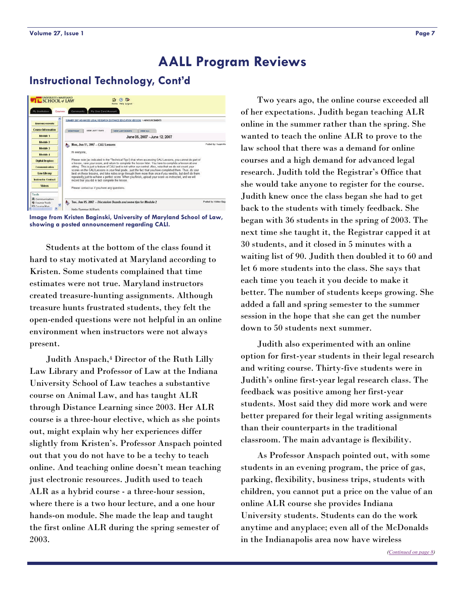# <span id="page-6-0"></span>**Instructional Technology, Cont'd**



**Image from Kristen Baginski, University of Maryland School of Law, showing a posted announcement regarding CALI.** 

 Students at the bottom of the class found it hard to stay motivated at Maryland according to Kristen. Some students complained that time estimates were not true. Maryland instructors created treasure-hunting assignments. Although treasure hunts frustrated students, they felt the open-ended questions were not helpful in an online environment when instructors were not always present.

 Judith Anspach,4 Director of the Ruth Lilly Law Library and Professor of Law at the Indiana University School of Law teaches a substantive course on Animal Law, and has taught ALR through Distance Learning since 2003. Her ALR course is a three-hour elective, which as she points out, might explain why her experiences differ slightly from Kristen's. Professor Anspach pointed out that you do not have to be a techy to teach online. And teaching online doesn't mean teaching just electronic resources. Judith used to teach ALR as a hybrid course - a three-hour session, where there is a two hour lecture, and a one hour hands-on module. She made the leap and taught the first online ALR during the spring semester of 2003.

 Two years ago, the online course exceeded all of her expectations. Judith began teaching ALR online in the summer rather than the spring. She wanted to teach the online ALR to prove to the law school that there was a demand for online courses and a high demand for advanced legal research. Judith told the Registrar's Office that she would take anyone to register for the course. Judith knew once the class began she had to get back to the students with timely feedback. She began with 36 students in the spring of 2003. The next time she taught it, the Registrar capped it at 30 students, and it closed in 5 minutes with a waiting list of 90. Judith then doubled it to 60 and let 6 more students into the class. She says that each time you teach it you decide to make it better. The number of students keeps growing. She added a fall and spring semester to the summer session in the hope that she can get the number down to 50 students next summer.

 Judith also experimented with an online option for first-year students in their legal research and writing course. Thirty-five students were in Judith's online first-year legal research class. The feedback was positive among her first-year students. Most said they did more work and were better prepared for their legal writing assignments than their counterparts in the traditional classroom. The main advantage is flexibility.

 As Professor Anspach pointed out, with some students in an evening program, the price of gas, parking, flexibility, business trips, students with children, you cannot put a price on the value of an online ALR course she provides Indiana University students. Students can do the work anytime and anyplace; even all of the McDonalds in the Indianapolis area now have wireless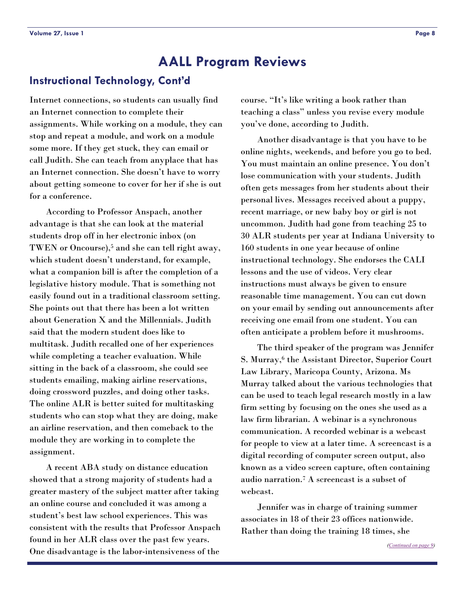# <span id="page-7-0"></span>**Instructional Technology, Cont'd**

Internet connections, so students can usually find an Internet connection to complete their assignments. While working on a module, they can stop and repeat a module, and work on a module some more. If they get stuck, they can email or call Judith. She can teach from anyplace that has an Internet connection. She doesn't have to worry about getting someone to cover for her if she is out for a conference.

 According to Professor Anspach, another advantage is that she can look at the material students drop off in her electronic inbox (on TWEN or Oncourse),<sup>5</sup> and she can tell right away, which student doesn't understand, for example, what a companion bill is after the completion of a legislative history module. That is something not easily found out in a traditional classroom setting. She points out that there has been a lot written about Generation X and the Millennials. Judith said that the modern student does like to multitask. Judith recalled one of her experiences while completing a teacher evaluation. While sitting in the back of a classroom, she could see students emailing, making airline reservations, doing crossword puzzles, and doing other tasks. The online ALR is better suited for multitasking students who can stop what they are doing, make an airline reservation, and then comeback to the module they are working in to complete the assignment.

 A recent ABA study on distance education showed that a strong majority of students had a greater mastery of the subject matter after taking an online course and concluded it was among a student's best law school experiences. This was consistent with the results that Professor Anspach found in her ALR class over the past few years. One disadvantage is the labor-intensiveness of the

course. "It's like writing a book rather than teaching a class" unless you revise every module you've done, according to Judith.

 Another disadvantage is that you have to be online nights, weekends, and before you go to bed. You must maintain an online presence. You don't lose communication with your students. Judith often gets messages from her students about their personal lives. Messages received about a puppy, recent marriage, or new baby boy or girl is not uncommon. Judith had gone from teaching 25 to 30 ALR students per year at Indiana University to 160 students in one year because of online instructional technology. She endorses the CALI lessons and the use of videos. Very clear instructions must always be given to ensure reasonable time management. You can cut down on your email by sending out announcements after receiving one email from one student. You can often anticipate a problem before it mushrooms.

 The third speaker of the program was Jennifer S. Murray,6 the Assistant Director, Superior Court Law Library, Maricopa County, Arizona. Ms Murray talked about the various technologies that can be used to teach legal research mostly in a law firm setting by focusing on the ones she used as a law firm librarian. A webinar is a synchronous communication. A recorded webinar is a webcast for people to view at a later time. A screencast is a digital recording of computer screen output, also known as a video screen capture, often containing audio narration.7 A screencast is a subset of webcast.

 Jennifer was in charge of training summer associates in 18 of their 23 offices nationwide. Rather than doing the training 18 times, she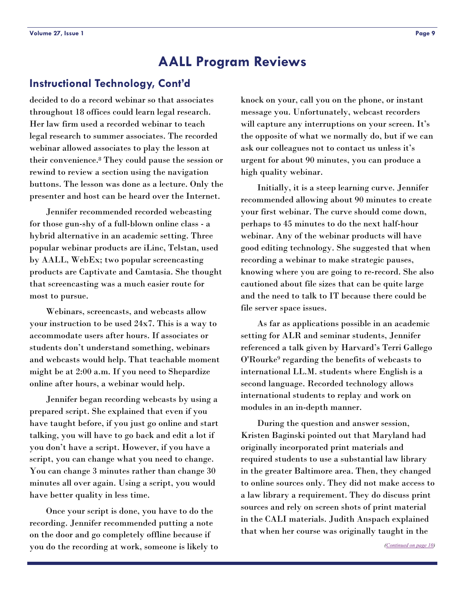### <span id="page-8-0"></span>**Instructional Technology, Cont'd**

decided to do a record webinar so that associates throughout 18 offices could learn legal research. Her law firm used a recorded webinar to teach legal research to summer associates. The recorded webinar allowed associates to play the lesson at their convenience.8 They could pause the session or rewind to review a section using the navigation buttons. The lesson was done as a lecture. Only the presenter and host can be heard over the Internet.

 Jennifer recommended recorded webcasting for those gun-shy of a full-blown online class - a hybrid alternative in an academic setting. Three popular webinar products are iLinc, Telstan, used by AALL, WebEx; two popular screencasting products are Captivate and Camtasia. She thought that screencasting was a much easier route for most to pursue.

 Webinars, screencasts, and webcasts allow your instruction to be used 24x7. This is a way to accommodate users after hours. If associates or students don't understand something, webinars and webcasts would help. That teachable moment might be at 2:00 a.m. If you need to Shepardize online after hours, a webinar would help.

 Jennifer began recording webcasts by using a prepared script. She explained that even if you have taught before, if you just go online and start talking, you will have to go back and edit a lot if you don't have a script. However, if you have a script, you can change what you need to change. You can change 3 minutes rather than change 30 minutes all over again. Using a script, you would have better quality in less time.

 Once your script is done, you have to do the recording. Jennifer recommended putting a note on the door and go completely offline because if you do the recording at work, someone is likely to knock on your, call you on the phone, or instant message you. Unfortunately, webcast recorders will capture any interruptions on your screen. It's the opposite of what we normally do, but if we can ask our colleagues not to contact us unless it's urgent for about 90 minutes, you can produce a high quality webinar.

 Initially, it is a steep learning curve. Jennifer recommended allowing about 90 minutes to create your first webinar. The curve should come down, perhaps to 45 minutes to do the next half-hour webinar. Any of the webinar products will have good editing technology. She suggested that when recording a webinar to make strategic pauses, knowing where you are going to re-record. She also cautioned about file sizes that can be quite large and the need to talk to IT because there could be file server space issues.

 As far as applications possible in an academic setting for ALR and seminar students, Jennifer referenced a talk given by Harvard's Terri Gallego O'Rourke9 regarding the benefits of webcasts to international LL.M. students where English is a second language. Recorded technology allows international students to replay and work on modules in an in-depth manner.

 During the question and answer session, Kristen Baginski pointed out that Maryland had originally incorporated print materials and required students to use a substantial law library in the greater Baltimore area. Then, they changed to online sources only. They did not make access to a law library a requirement. They do discuss print sources and rely on screen shots of print material in the CALI materials. Judith Anspach explained that when her course was originally taught in the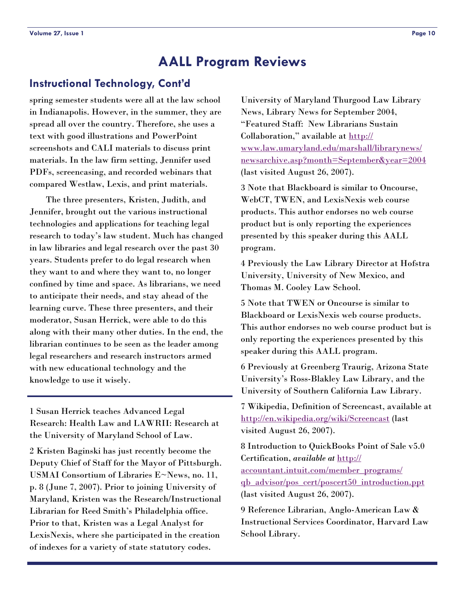### <span id="page-9-0"></span>**Instructional Technology, Cont'd**

spring semester students were all at the law school in Indianapolis. However, in the summer, they are spread all over the country. Therefore, she uses a text with good illustrations and PowerPoint screenshots and CALI materials to discuss print materials. In the law firm setting, Jennifer used PDFs, screencasing, and recorded webinars that compared Westlaw, Lexis, and print materials.

 The three presenters, Kristen, Judith, and Jennifer, brought out the various instructional technologies and applications for teaching legal research to today's law student. Much has changed in law libraries and legal research over the past 30 years. Students prefer to do legal research when they want to and where they want to, no longer confined by time and space. As librarians, we need to anticipate their needs, and stay ahead of the learning curve. These three presenters, and their moderator, Susan Herrick, were able to do this along with their many other duties. In the end, the librarian continues to be seen as the leader among legal researchers and research instructors armed with new educational technology and the knowledge to use it wisely.

1 Susan Herrick teaches Advanced Legal Research: Health Law and LAWRII: Research at the University of Maryland School of Law.

2 Kristen Baginski has just recently become the Deputy Chief of Staff for the Mayor of Pittsburgh. USMAI Consortium of Libraries E~News, no. 11, p. 8 (June 7, 2007). Prior to joining University of Maryland, Kristen was the Research/Instructional Librarian for Reed Smith's Philadelphia office. Prior to that, Kristen was a Legal Analyst for LexisNexis, where she participated in the creation of indexes for a variety of state statutory codes.

University of Maryland Thurgood Law Library News, Library News for September 2004, "Featured Staff: New Librarians Sustain Collaboration," available at [http://](http://www.law.umaryland.edu/marshall/librarynews/newsarchive.asp?month=September&year=2004) [www.law.umaryland.edu/marshall/librarynews/](http://www.law.umaryland.edu/marshall/librarynews/newsarchive.asp?month=September&year=2004) [newsarchive.asp?month=September&year=2004](http://www.law.umaryland.edu/marshall/librarynews/newsarchive.asp?month=September&year=2004) (last visited August 26, 2007).

3 Note that Blackboard is similar to Oncourse, WebCT, TWEN, and LexisNexis web course products. This author endorses no web course product but is only reporting the experiences presented by this speaker during this AALL program.

4 Previously the Law Library Director at Hofstra University, University of New Mexico, and Thomas M. Cooley Law School.

5 Note that TWEN or Oncourse is similar to Blackboard or LexisNexis web course products. This author endorses no web course product but is only reporting the experiences presented by this speaker during this AALL program.

6 Previously at Greenberg Traurig, Arizona State University's Ross-Blakley Law Library, and the University of Southern California Law Library.

7 Wikipedia, Definition of Screencast, available at <http://en.wikipedia.org/wiki/Screencast> (last visited August 26, 2007).

8 Introduction to QuickBooks Point of Sale v5.0 Certification, *available at* [http://](http://accountant.intuit.com/member_programs/qb_advisor/pos_cert/poscert50_introduction.ppt) [accountant.intuit.com/member\\_programs/](http://accountant.intuit.com/member_programs/qb_advisor/pos_cert/poscert50_introduction.ppt) [qb\\_advisor/pos\\_cert/poscert50\\_introduction.ppt](http://accountant.intuit.com/member_programs/qb_advisor/pos_cert/poscert50_introduction.ppt) (last visited August 26, 2007).

9 Reference Librarian, Anglo-American Law & Instructional Services Coordinator, Harvard Law School Library.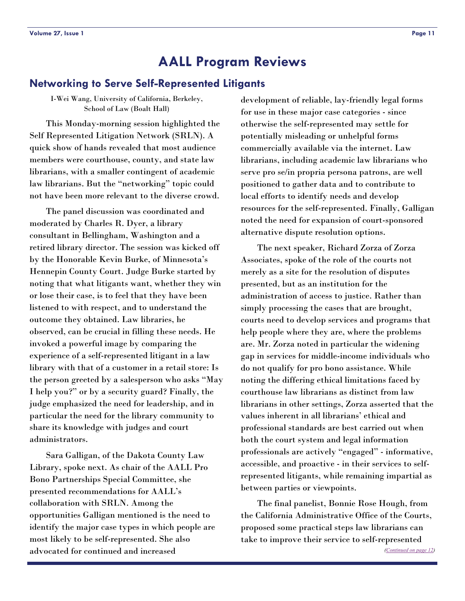### <span id="page-10-0"></span>**Networking to Serve Self-Represented Litigants**

I-Wei Wang, University of California, Berkeley, School of Law (Boalt Hall)

 This Monday-morning session highlighted the Self Represented Litigation Network (SRLN). A quick show of hands revealed that most audience members were courthouse, county, and state law librarians, with a smaller contingent of academic law librarians. But the "networking" topic could not have been more relevant to the diverse crowd.

 The panel discussion was coordinated and moderated by Charles R. Dyer, a library consultant in Bellingham, Washington and a retired library director. The session was kicked off by the Honorable Kevin Burke, of Minnesota's Hennepin County Court. Judge Burke started by noting that what litigants want, whether they win or lose their case, is to feel that they have been listened to with respect, and to understand the outcome they obtained. Law libraries, he observed, can be crucial in filling these needs. He invoked a powerful image by comparing the experience of a self-represented litigant in a law library with that of a customer in a retail store: Is the person greeted by a salesperson who asks "May I help you?" or by a security guard? Finally, the judge emphasized the need for leadership, and in particular the need for the library community to share its knowledge with judges and court administrators.

 Sara Galligan, of the Dakota County Law Library, spoke next. As chair of the AALL Pro Bono Partnerships Special Committee, she presented recommendations for AALL's collaboration with SRLN. Among the opportunities Galligan mentioned is the need to identify the major case types in which people are most likely to be self-represented. She also advocated for continued and increased

development of reliable, lay-friendly legal forms for use in these major case categories - since otherwise the self-represented may settle for potentially misleading or unhelpful forms commercially available via the internet. Law librarians, including academic law librarians who serve pro se/in propria persona patrons, are well positioned to gather data and to contribute to local efforts to identify needs and develop resources for the self-represented. Finally, Galligan noted the need for expansion of court-sponsored alternative dispute resolution options.

 The next speaker, Richard Zorza of Zorza Associates, spoke of the role of the courts not merely as a site for the resolution of disputes presented, but as an institution for the administration of access to justice. Rather than simply processing the cases that are brought, courts need to develop services and programs that help people where they are, where the problems are. Mr. Zorza noted in particular the widening gap in services for middle-income individuals who do not qualify for pro bono assistance. While noting the differing ethical limitations faced by courthouse law librarians as distinct from law librarians in other settings, Zorza asserted that the values inherent in all librarians' ethical and professional standards are best carried out when both the court system and legal information professionals are actively "engaged" - informative, accessible, and proactive - in their services to selfrepresented litigants, while remaining impartial as between parties or viewpoints.

 The final panelist, Bonnie Rose Hough, from the California Administrative Office of the Courts, proposed some practical steps law librarians can take to improve their service to self-represented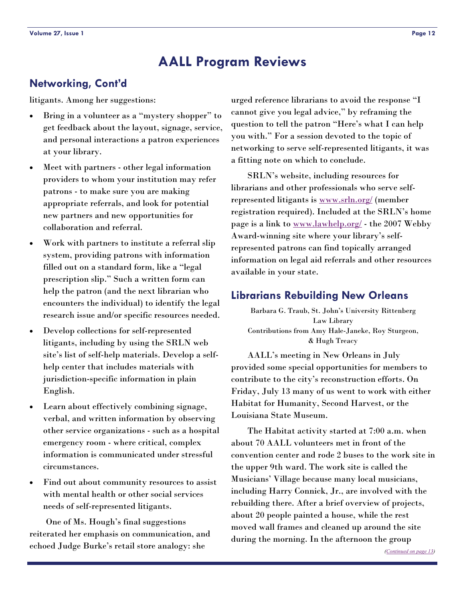# <span id="page-11-0"></span>**Networking, Cont'd**

litigants. Among her suggestions:

- Bring in a volunteer as a "mystery shopper" to get feedback about the layout, signage, service, and personal interactions a patron experiences at your library.
- Meet with partners other legal information providers to whom your institution may refer patrons - to make sure you are making appropriate referrals, and look for potential new partners and new opportunities for collaboration and referral.
- Work with partners to institute a referral slip system, providing patrons with information filled out on a standard form, like a "legal prescription slip." Such a written form can help the patron (and the next librarian who encounters the individual) to identify the legal research issue and/or specific resources needed.
- Develop collections for self-represented litigants, including by using the SRLN web site's list of self-help materials. Develop a selfhelp center that includes materials with jurisdiction-specific information in plain English.
- Learn about effectively combining signage, verbal, and written information by observing other service organizations - such as a hospital emergency room - where critical, complex information is communicated under stressful circumstances.
- Find out about community resources to assist with mental health or other social services needs of self-represented litigants.

 One of Ms. Hough's final suggestions reiterated her emphasis on communication, and echoed Judge Burke's retail store analogy: she

urged reference librarians to avoid the response "I cannot give you legal advice," by reframing the question to tell the patron "Here's what I can help you with." For a session devoted to the topic of networking to serve self-represented litigants, it was a fitting note on which to conclude.

 SRLN's website, including resources for librarians and other professionals who serve selfrepresented litigants is [www.srln.org/](http://www.srln.org/) (member registration required). Included at the SRLN's home page is a link to [www.lawhelp.org/](http://www.lawhelp.org/) - the 2007 Webby Award-winning site where your library's selfrepresented patrons can find topically arranged information on legal aid referrals and other resources available in your state.

# **Librarians Rebuilding New Orleans**

Barbara G. Traub, St. John's University Rittenberg Law Library Contributions from Amy Hale-Janeke, Roy Sturgeon, & Hugh Treacy

 AALL's meeting in New Orleans in July provided some special opportunities for members to contribute to the city's reconstruction efforts. On Friday, July 13 many of us went to work with either Habitat for Humanity, Second Harvest, or the Louisiana State Museum.

 The Habitat activity started at 7:00 a.m. when about 70 AALL volunteers met in front of the convention center and rode 2 buses to the work site in the upper 9th ward. The work site is called the Musicians' Village because many local musicians, including Harry Connick, Jr., are involved with the rebuilding there. After a brief overview of projects, about 20 people painted a house, while the rest moved wall frames and cleaned up around the site during the morning. In the afternoon the group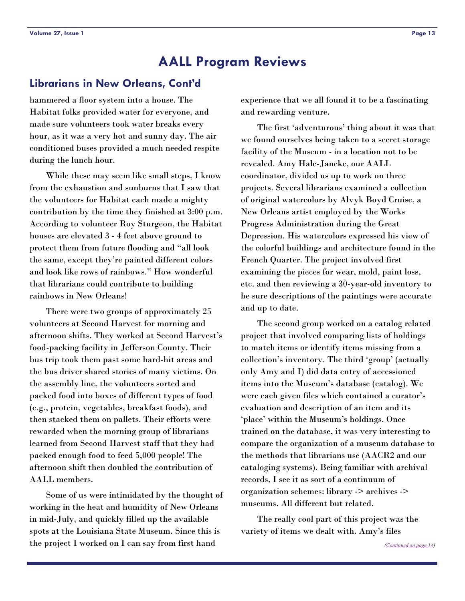### <span id="page-12-0"></span>**Librarians in New Orleans, Cont'd**

hammered a floor system into a house. The Habitat folks provided water for everyone, and made sure volunteers took water breaks every hour, as it was a very hot and sunny day. The air conditioned buses provided a much needed respite during the lunch hour.

 While these may seem like small steps, I know from the exhaustion and sunburns that I saw that the volunteers for Habitat each made a mighty contribution by the time they finished at 3:00 p.m. According to volunteer Roy Sturgeon, the Habitat houses are elevated 3 - 4 feet above ground to protect them from future flooding and "all look the same, except they're painted different colors and look like rows of rainbows." How wonderful that librarians could contribute to building rainbows in New Orleans!

 There were two groups of approximately 25 volunteers at Second Harvest for morning and afternoon shifts. They worked at Second Harvest's food-packing facility in Jefferson County. Their bus trip took them past some hard-hit areas and the bus driver shared stories of many victims. On the assembly line, the volunteers sorted and packed food into boxes of different types of food (e.g., protein, vegetables, breakfast foods), and then stacked them on pallets. Their efforts were rewarded when the morning group of librarians learned from Second Harvest staff that they had packed enough food to feed 5,000 people! The afternoon shift then doubled the contribution of AALL members.

 Some of us were intimidated by the thought of working in the heat and humidity of New Orleans in mid-July, and quickly filled up the available spots at the Louisiana State Museum. Since this is the project I worked on I can say from first hand

experience that we all found it to be a fascinating and rewarding venture.

 The first 'adventurous' thing about it was that we found ourselves being taken to a secret storage facility of the Museum - in a location not to be revealed. Amy Hale-Janeke, our AALL coordinator, divided us up to work on three projects. Several librarians examined a collection of original watercolors by Alvyk Boyd Cruise, a New Orleans artist employed by the Works Progress Administration during the Great Depression. His watercolors expressed his view of the colorful buildings and architecture found in the French Quarter. The project involved first examining the pieces for wear, mold, paint loss, etc. and then reviewing a 30-year-old inventory to be sure descriptions of the paintings were accurate and up to date.

 The second group worked on a catalog related project that involved comparing lists of holdings to match items or identify items missing from a collection's inventory. The third 'group' (actually only Amy and I) did data entry of accessioned items into the Museum's database (catalog). We were each given files which contained a curator's evaluation and description of an item and its 'place' within the Museum's holdings. Once trained on the database, it was very interesting to compare the organization of a museum database to the methods that librarians use (AACR2 and our cataloging systems). Being familiar with archival records, I see it as sort of a continuum of organization schemes: library -> archives -> museums. All different but related.

 The really cool part of this project was the variety of items we dealt with. Amy's files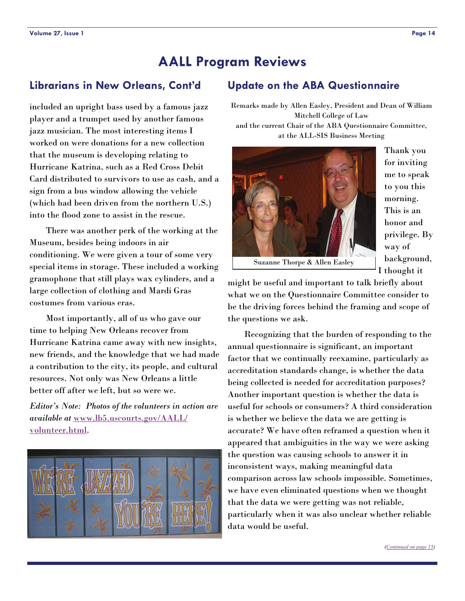# <span id="page-13-0"></span>**Librarians in New Orleans, Cont'd**

included an upright bass used by a famous jazz player and a trumpet used by another famous jazz musician. The most interesting items I worked on were donations for a new collection that the museum is developing relating to Hurricane Katrina, such as a Red Cross Debit Card distributed to survivors to use as cash, and a sign from a bus window allowing the vehicle (which had been driven from the northern U.S.) into the flood zone to assist in the rescue.

 There was another perk of the working at the Museum, besides being indoors in air conditioning. We were given a tour of some very special items in storage. These included a working gramophone that still plays wax cylinders, and a large collection of clothing and Mardi Gras costumes from various eras.

 Most importantly, all of us who gave our time to helping New Orleans recover from Hurricane Katrina came away with new insights, new friends, and the knowledge that we had made a contribution to the city, its people, and cultural resources. Not only was New Orleans a little better off after we left, but so were we.

*Editor's Note: Photos of the volunteers in action are available at* [www.lb5.uscourts.gov/AALL/](http://www.lb5.uscourts.gov/AALL/volunteer.html) [volunteer.html](http://www.lb5.uscourts.gov/AALL/volunteer.html).



# **Update on the ABA Questionnaire**

Remarks made by Allen Easley, President and Dean of William Mitchell College of Law and the current Chair of the ABA Questionnaire Committee, at the ALL-SIS Business Meeting



Thank you for inviting me to speak to you this morning. This is an honor and privilege. By way of background, I thought it

Suzanne Thorpe & Allen Easley

might be useful and important to talk briefly about what we on the Questionnaire Committee consider to be the driving forces behind the framing and scope of the questions we ask.

 Recognizing that the burden of responding to the annual questionnaire is significant, an important factor that we continually reexamine, particularly as accreditation standards change, is whether the data being collected is needed for accreditation purposes? Another important question is whether the data is useful for schools or consumers? A third consideration is whether we believe the data we are getting is accurate? We have often reframed a question when it appeared that ambiguities in the way we were asking the question was causing schools to answer it in inconsistent ways, making meaningful data comparison across law schools impossible. Sometimes, we have even eliminated questions when we thought that the data we were getting was not reliable, particularly when it was also unclear whether reliable data would be useful.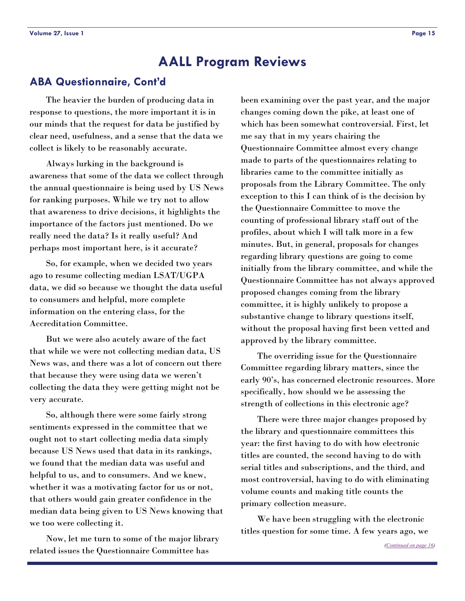# <span id="page-14-0"></span>**ABA Questionnaire, Cont'd**

 The heavier the burden of producing data in response to questions, the more important it is in our minds that the request for data be justified by clear need, usefulness, and a sense that the data we collect is likely to be reasonably accurate.

 Always lurking in the background is awareness that some of the data we collect through the annual questionnaire is being used by US News for ranking purposes. While we try not to allow that awareness to drive decisions, it highlights the importance of the factors just mentioned. Do we really need the data? Is it really useful? And perhaps most important here, is it accurate?

 So, for example, when we decided two years ago to resume collecting median LSAT/UGPA data, we did so because we thought the data useful to consumers and helpful, more complete information on the entering class, for the Accreditation Committee.

 But we were also acutely aware of the fact that while we were not collecting median data, US News was, and there was a lot of concern out there that because they were using data we weren't collecting the data they were getting might not be very accurate.

 So, although there were some fairly strong sentiments expressed in the committee that we ought not to start collecting media data simply because US News used that data in its rankings, we found that the median data was useful and helpful to us, and to consumers. And we knew, whether it was a motivating factor for us or not, that others would gain greater confidence in the median data being given to US News knowing that we too were collecting it.

 Now, let me turn to some of the major library related issues the Questionnaire Committee has

been examining over the past year, and the major changes coming down the pike, at least one of which has been somewhat controversial. First, let me say that in my years chairing the Questionnaire Committee almost every change made to parts of the questionnaires relating to libraries came to the committee initially as proposals from the Library Committee. The only exception to this I can think of is the decision by the Questionnaire Committee to move the counting of professional library staff out of the profiles, about which I will talk more in a few minutes. But, in general, proposals for changes regarding library questions are going to come initially from the library committee, and while the Questionnaire Committee has not always approved proposed changes coming from the library committee, it is highly unlikely to propose a substantive change to library questions itself, without the proposal having first been vetted and approved by the library committee.

 The overriding issue for the Questionnaire Committee regarding library matters, since the early 90's, has concerned electronic resources. More specifically, how should we be assessing the strength of collections in this electronic age?

 There were three major changes proposed by the library and questionnaire committees this year: the first having to do with how electronic titles are counted, the second having to do with serial titles and subscriptions, and the third, and most controversial, having to do with eliminating volume counts and making title counts the primary collection measure.

 We have been struggling with the electronic titles question for some time. A few years ago, we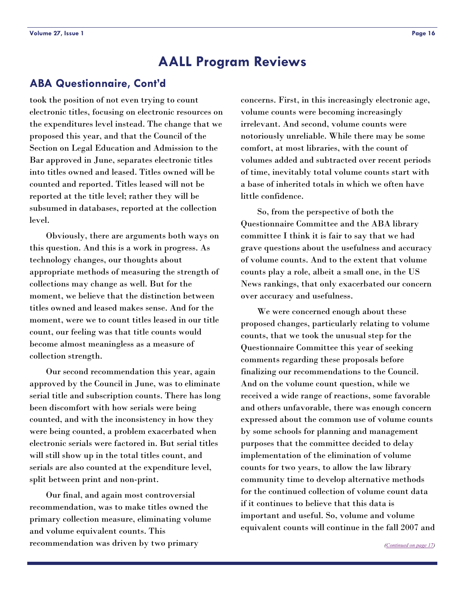### <span id="page-15-0"></span>**ABA Questionnaire, Cont'd**

took the position of not even trying to count electronic titles, focusing on electronic resources on the expenditures level instead. The change that we proposed this year, and that the Council of the Section on Legal Education and Admission to the Bar approved in June, separates electronic titles into titles owned and leased. Titles owned will be counted and reported. Titles leased will not be reported at the title level; rather they will be subsumed in databases, reported at the collection level.

 Obviously, there are arguments both ways on this question. And this is a work in progress. As technology changes, our thoughts about appropriate methods of measuring the strength of collections may change as well. But for the moment, we believe that the distinction between titles owned and leased makes sense. And for the moment, were we to count titles leased in our title count, our feeling was that title counts would become almost meaningless as a measure of collection strength.

 Our second recommendation this year, again approved by the Council in June, was to eliminate serial title and subscription counts. There has long been discomfort with how serials were being counted, and with the inconsistency in how they were being counted, a problem exacerbated when electronic serials were factored in. But serial titles will still show up in the total titles count, and serials are also counted at the expenditure level, split between print and non-print.

 Our final, and again most controversial recommendation, was to make titles owned the primary collection measure, eliminating volume and volume equivalent counts. This recommendation was driven by two primary

concerns. First, in this increasingly electronic age, volume counts were becoming increasingly irrelevant. And second, volume counts were notoriously unreliable. While there may be some comfort, at most libraries, with the count of volumes added and subtracted over recent periods of time, inevitably total volume counts start with a base of inherited totals in which we often have little confidence.

 So, from the perspective of both the Questionnaire Committee and the ABA library committee I think it is fair to say that we had grave questions about the usefulness and accuracy of volume counts. And to the extent that volume counts play a role, albeit a small one, in the US News rankings, that only exacerbated our concern over accuracy and usefulness.

 We were concerned enough about these proposed changes, particularly relating to volume counts, that we took the unusual step for the Questionnaire Committee this year of seeking comments regarding these proposals before finalizing our recommendations to the Council. And on the volume count question, while we received a wide range of reactions, some favorable and others unfavorable, there was enough concern expressed about the common use of volume counts by some schools for planning and management purposes that the committee decided to delay implementation of the elimination of volume counts for two years, to allow the law library community time to develop alternative methods for the continued collection of volume count data if it continues to believe that this data is important and useful. So, volume and volume equivalent counts will continue in the fall 2007 and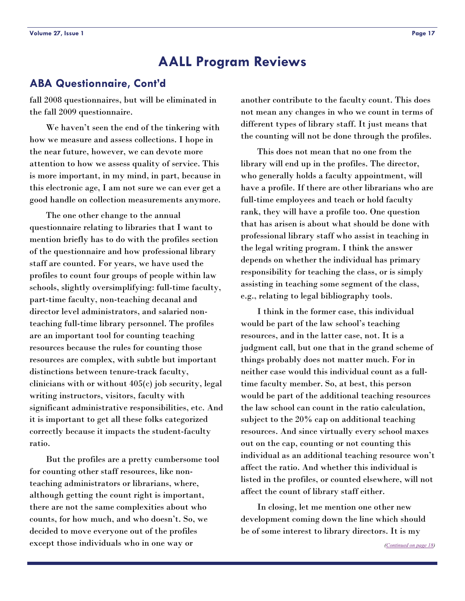### <span id="page-16-0"></span>**ABA Questionnaire, Cont'd**

fall 2008 questionnaires, but will be eliminated in the fall 2009 questionnaire.

 We haven't seen the end of the tinkering with how we measure and assess collections. I hope in the near future, however, we can devote more attention to how we assess quality of service. This is more important, in my mind, in part, because in this electronic age, I am not sure we can ever get a good handle on collection measurements anymore.

 The one other change to the annual questionnaire relating to libraries that I want to mention briefly has to do with the profiles section of the questionnaire and how professional library staff are counted. For years, we have used the profiles to count four groups of people within law schools, slightly oversimplifying: full-time faculty, part-time faculty, non-teaching decanal and director level administrators, and salaried nonteaching full-time library personnel. The profiles are an important tool for counting teaching resources because the rules for counting those resources are complex, with subtle but important distinctions between tenure-track faculty, clinicians with or without 405(c) job security, legal writing instructors, visitors, faculty with significant administrative responsibilities, etc. And it is important to get all these folks categorized correctly because it impacts the student-faculty ratio.

 But the profiles are a pretty cumbersome tool for counting other staff resources, like nonteaching administrators or librarians, where, although getting the count right is important, there are not the same complexities about who counts, for how much, and who doesn't. So, we decided to move everyone out of the profiles except those individuals who in one way or

another contribute to the faculty count. This does not mean any changes in who we count in terms of different types of library staff. It just means that the counting will not be done through the profiles.

 This does not mean that no one from the library will end up in the profiles. The director, who generally holds a faculty appointment, will have a profile. If there are other librarians who are full-time employees and teach or hold faculty rank, they will have a profile too. One question that has arisen is about what should be done with professional library staff who assist in teaching in the legal writing program. I think the answer depends on whether the individual has primary responsibility for teaching the class, or is simply assisting in teaching some segment of the class, e.g., relating to legal bibliography tools.

 I think in the former case, this individual would be part of the law school's teaching resources, and in the latter case, not. It is a judgment call, but one that in the grand scheme of things probably does not matter much. For in neither case would this individual count as a fulltime faculty member. So, at best, this person would be part of the additional teaching resources the law school can count in the ratio calculation, subject to the 20% cap on additional teaching resources. And since virtually every school maxes out on the cap, counting or not counting this individual as an additional teaching resource won't affect the ratio. And whether this individual is listed in the profiles, or counted elsewhere, will not affect the count of library staff either.

 In closing, let me mention one other new development coming down the line which should be of some interest to library directors. It is my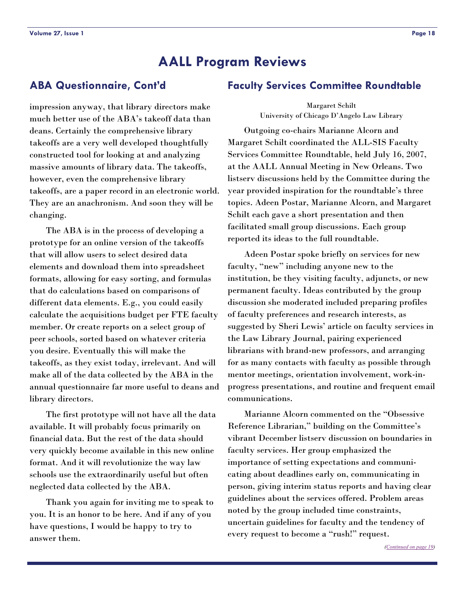# <span id="page-17-0"></span>**ABA Questionnaire, Cont'd**

impression anyway, that library directors make much better use of the ABA's takeoff data than deans. Certainly the comprehensive library takeoffs are a very well developed thoughtfully constructed tool for looking at and analyzing massive amounts of library data. The takeoffs, however, even the comprehensive library takeoffs, are a paper record in an electronic world. They are an anachronism. And soon they will be changing.

 The ABA is in the process of developing a prototype for an online version of the takeoffs that will allow users to select desired data elements and download them into spreadsheet formats, allowing for easy sorting, and formulas that do calculations based on comparisons of different data elements. E.g., you could easily calculate the acquisitions budget per FTE faculty member. Or create reports on a select group of peer schools, sorted based on whatever criteria you desire. Eventually this will make the takeoffs, as they exist today, irrelevant. And will make all of the data collected by the ABA in the annual questionnaire far more useful to deans and library directors.

 The first prototype will not have all the data available. It will probably focus primarily on financial data. But the rest of the data should very quickly become available in this new online format. And it will revolutionize the way law schools use the extraordinarily useful but often neglected data collected by the ABA.

 Thank you again for inviting me to speak to you. It is an honor to be here. And if any of you have questions, I would be happy to try to answer them.

### **Faculty Services Committee Roundtable**

Margaret Schilt University of Chicago D'Angelo Law Library

 Outgoing co-chairs Marianne Alcorn and Margaret Schilt coordinated the ALL-SIS Faculty Services Committee Roundtable, held July 16, 2007, at the AALL Annual Meeting in New Orleans. Two listserv discussions held by the Committee during the year provided inspiration for the roundtable's three topics. Adeen Postar, Marianne Alcorn, and Margaret Schilt each gave a short presentation and then facilitated small group discussions. Each group reported its ideas to the full roundtable.

 Adeen Postar spoke briefly on services for new faculty, "new" including anyone new to the institution, be they visiting faculty, adjuncts, or new permanent faculty. Ideas contributed by the group discussion she moderated included preparing profiles of faculty preferences and research interests, as suggested by Sheri Lewis' article on faculty services in the Law Library Journal, pairing experienced librarians with brand-new professors, and arranging for as many contacts with faculty as possible through mentor meetings, orientation involvement, work-inprogress presentations, and routine and frequent email communications.

 Marianne Alcorn commented on the "Obsessive Reference Librarian," building on the Committee's vibrant December listserv discussion on boundaries in faculty services. Her group emphasized the importance of setting expectations and communicating about deadlines early on, communicating in person, giving interim status reports and having clear guidelines about the services offered. Problem areas noted by the group included time constraints, uncertain guidelines for faculty and the tendency of every request to become a "rush!" request.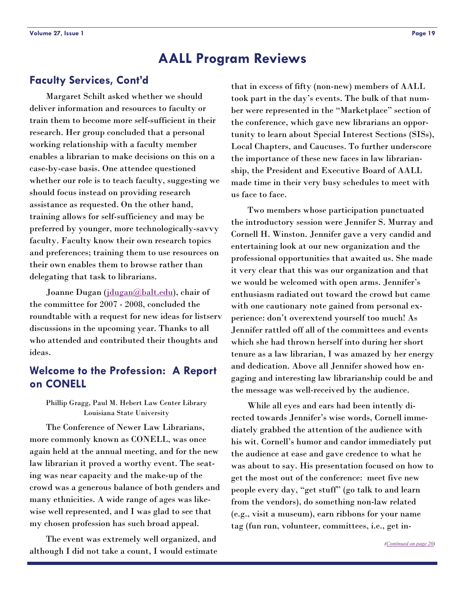# <span id="page-18-0"></span>**Faculty Services, Cont'd**

 Margaret Schilt asked whether we should deliver information and resources to faculty or train them to become more self-sufficient in their research. Her group concluded that a personal working relationship with a faculty member enables a librarian to make decisions on this on a case-by-case basis. One attendee questioned whether our role is to teach faculty, suggesting we should focus instead on providing research assistance as requested. On the other hand, training allows for self-sufficiency and may be preferred by younger, more technologically-savvy faculty. Faculty know their own research topics and preferences; training them to use resources on their own enables them to browse rather than delegating that task to librarians.

Joanne Dugan (<u>[jdugan@balt.edu\)](mailto:jdugan@balt.edu),</u> chair of the committee for 2007 - 2008, concluded the roundtable with a request for new ideas for listserv discussions in the upcoming year. Thanks to all who attended and contributed their thoughts and ideas.

# **Welcome to the Profession: A Report on CONELL**

### Phillip Gragg, Paul M. Hebert Law Center Library Louisiana State University

 The Conference of Newer Law Librarians, more commonly known as CONELL, was once again held at the annual meeting, and for the new law librarian it proved a worthy event. The seating was near capacity and the make-up of the crowd was a generous balance of both genders and many ethnicities. A wide range of ages was likewise well represented, and I was glad to see that my chosen profession has such broad appeal.

 The event was extremely well organized, and although I did not take a count, I would estimate that in excess of fifty (non-new) members of AALL took part in the day's events. The bulk of that number were represented in the "Marketplace" section of the conference, which gave new librarians an opportunity to learn about Special Interest Sections (SISs), Local Chapters, and Caucuses. To further underscore the importance of these new faces in law librarianship, the President and Executive Board of AALL made time in their very busy schedules to meet with us face to face.

 Two members whose participation punctuated the introductory session were Jennifer S. Murray and Cornell H. Winston. Jennifer gave a very candid and entertaining look at our new organization and the professional opportunities that awaited us. She made it very clear that this was our organization and that we would be welcomed with open arms. Jennifer's enthusiasm radiated out toward the crowd but came with one cautionary note gained from personal experience: don't overextend yourself too much! As Jennifer rattled off all of the committees and events which she had thrown herself into during her short tenure as a law librarian, I was amazed by her energy and dedication. Above all Jennifer showed how engaging and interesting law librarianship could be and the message was well-received by the audience.

 While all eyes and ears had been intently directed towards Jennifer's wise words, Cornell immediately grabbed the attention of the audience with his wit. Cornell's humor and candor immediately put the audience at ease and gave credence to what he was about to say. His presentation focused on how to get the most out of the conference: meet five new people every day, "get stuff" (go talk to and learn from the vendors), do something non-law related (e.g., visit a museum), earn ribbons for your name tag (fun run, volunteer, committees, i.e., get in-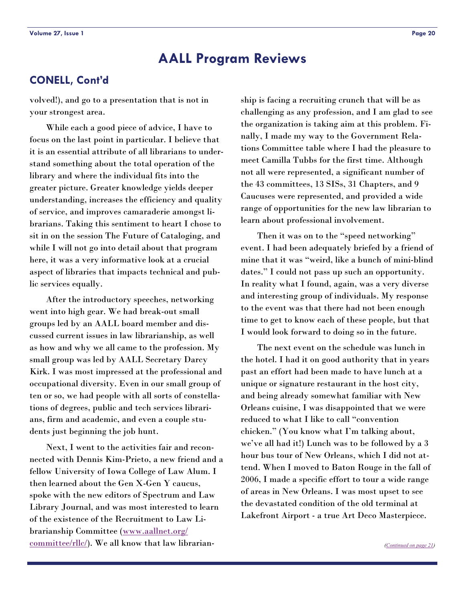# <span id="page-19-0"></span>**CONELL, Cont'd**

volved!), and go to a presentation that is not in your strongest area.

 While each a good piece of advice, I have to focus on the last point in particular. I believe that it is an essential attribute of all librarians to understand something about the total operation of the library and where the individual fits into the greater picture. Greater knowledge yields deeper understanding, increases the efficiency and quality of service, and improves camaraderie amongst librarians. Taking this sentiment to heart I chose to sit in on the session The Future of Cataloging, and while I will not go into detail about that program here, it was a very informative look at a crucial aspect of libraries that impacts technical and public services equally.

 After the introductory speeches, networking went into high gear. We had break-out small groups led by an AALL board member and discussed current issues in law librarianship, as well as how and why we all came to the profession. My small group was led by AALL Secretary Darcy Kirk. I was most impressed at the professional and occupational diversity. Even in our small group of ten or so, we had people with all sorts of constellations of degrees, public and tech services librarians, firm and academic, and even a couple students just beginning the job hunt.

 Next, I went to the activities fair and reconnected with Dennis Kim-Prieto, a new friend and a fellow University of Iowa College of Law Alum. I then learned about the Gen X-Gen Y caucus, spoke with the new editors of Spectrum and Law Library Journal, and was most interested to learn of the existence of the Recruitment to Law Librarianship Committee ([www.aallnet.org/](http://www.aallnet.org/committee/rllc/)  $committeer/Hc$ . We all know that law librarian-</u>

ship is facing a recruiting crunch that will be as challenging as any profession, and I am glad to see the organization is taking aim at this problem. Finally, I made my way to the Government Relations Committee table where I had the pleasure to meet Camilla Tubbs for the first time. Although not all were represented, a significant number of the 43 committees, 13 SISs, 31 Chapters, and 9 Caucuses were represented, and provided a wide range of opportunities for the new law librarian to learn about professional involvement.

 Then it was on to the "speed networking" event. I had been adequately briefed by a friend of mine that it was "weird, like a bunch of mini-blind dates." I could not pass up such an opportunity. In reality what I found, again, was a very diverse and interesting group of individuals. My response to the event was that there had not been enough time to get to know each of these people, but that I would look forward to doing so in the future.

 The next event on the schedule was lunch in the hotel. I had it on good authority that in years past an effort had been made to have lunch at a unique or signature restaurant in the host city, and being already somewhat familiar with New Orleans cuisine, I was disappointed that we were reduced to what I like to call "convention chicken." (You know what I'm talking about, we've all had it!) Lunch was to be followed by a 3 hour bus tour of New Orleans, which I did not attend. When I moved to Baton Rouge in the fall of 2006, I made a specific effort to tour a wide range of areas in New Orleans. I was most upset to see the devastated condition of the old terminal at Lakefront Airport - a true Art Deco Masterpiece.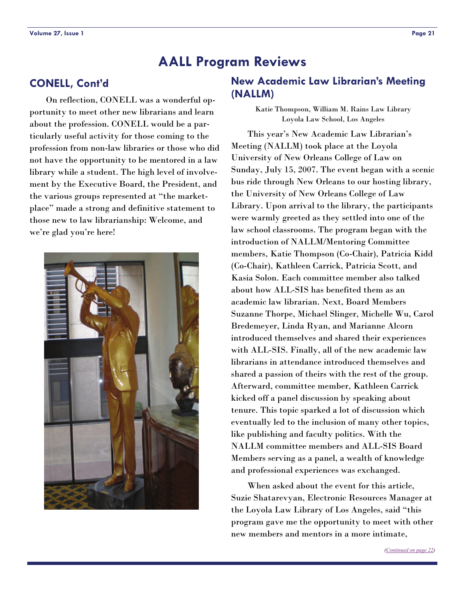# <span id="page-20-0"></span>**CONELL, Cont'd**

 On reflection, CONELL was a wonderful opportunity to meet other new librarians and learn about the profession. CONELL would be a particularly useful activity for those coming to the profession from non-law libraries or those who did not have the opportunity to be mentored in a law library while a student. The high level of involvement by the Executive Board, the President, and the various groups represented at "the marketplace" made a strong and definitive statement to those new to law librarianship: Welcome, and we're glad you're here!



# **New Academic Law Librarian's Meeting (NALLM)**

Katie Thompson, William M. Rains Law Library Loyola Law School, Los Angeles

 This year's New Academic Law Librarian's Meeting (NALLM) took place at the Loyola University of New Orleans College of Law on Sunday, July 15, 2007. The event began with a scenic bus ride through New Orleans to our hosting library, the University of New Orleans College of Law Library. Upon arrival to the library, the participants were warmly greeted as they settled into one of the law school classrooms. The program began with the introduction of NALLM/Mentoring Committee members, Katie Thompson (Co-Chair), Patricia Kidd (Co-Chair), Kathleen Carrick, Patricia Scott, and Kasia Solon. Each committee member also talked about how ALL-SIS has benefited them as an academic law librarian. Next, Board Members Suzanne Thorpe, Michael Slinger, Michelle Wu, Carol Bredemeyer, Linda Ryan, and Marianne Alcorn introduced themselves and shared their experiences with ALL-SIS. Finally, all of the new academic law librarians in attendance introduced themselves and shared a passion of theirs with the rest of the group. Afterward, committee member, Kathleen Carrick kicked off a panel discussion by speaking about tenure. This topic sparked a lot of discussion which eventually led to the inclusion of many other topics, like publishing and faculty politics. With the NALLM committee members and ALL-SIS Board Members serving as a panel, a wealth of knowledge and professional experiences was exchanged.

 When asked about the event for this article, Suzie Shatarevyan, Electronic Resources Manager at the Loyola Law Library of Los Angeles, said "this program gave me the opportunity to meet with other new members and mentors in a more intimate,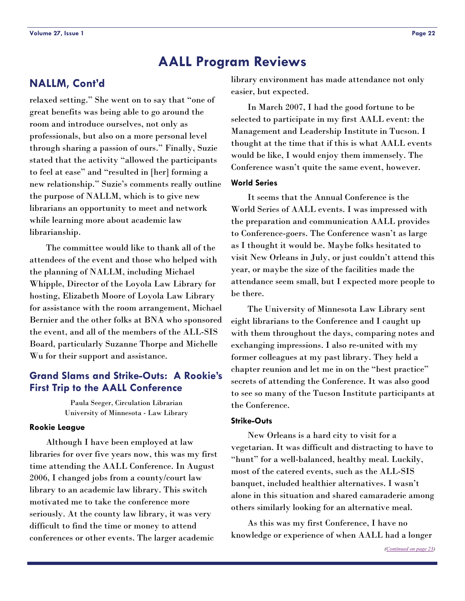# <span id="page-21-0"></span>**NALLM, Cont'd**

relaxed setting." She went on to say that "one of great benefits was being able to go around the room and introduce ourselves, not only as professionals, but also on a more personal level through sharing a passion of ours." Finally, Suzie stated that the activity "allowed the participants to feel at ease" and "resulted in [her] forming a new relationship." Suzie's comments really outline the purpose of NALLM, which is to give new librarians an opportunity to meet and network while learning more about academic law librarianship.

 The committee would like to thank all of the attendees of the event and those who helped with the planning of NALLM, including Michael Whipple, Director of the Loyola Law Library for hosting, Elizabeth Moore of Loyola Law Library for assistance with the room arrangement, Michael Bernier and the other folks at BNA who sponsored the event, and all of the members of the ALL-SIS Board, particularly Suzanne Thorpe and Michelle Wu for their support and assistance.

# **Grand Slams and Strike-Outs: A Rookie's First Trip to the AALL Conference**

Paula Seeger, Circulation Librarian University of Minnesota - Law Library

### **Rookie League**

 Although I have been employed at law libraries for over five years now, this was my first time attending the AALL Conference. In August 2006, I changed jobs from a county/court law library to an academic law library. This switch motivated me to take the conference more seriously. At the county law library, it was very difficult to find the time or money to attend conferences or other events. The larger academic

library environment has made attendance not only easier, but expected.

 In March 2007, I had the good fortune to be selected to participate in my first AALL event: the Management and Leadership Institute in Tucson. I thought at the time that if this is what AALL events would be like, I would enjoy them immensely. The Conference wasn't quite the same event, however.

### **World Series**

 It seems that the Annual Conference is the World Series of AALL events. I was impressed with the preparation and communication AALL provides to Conference-goers. The Conference wasn't as large as I thought it would be. Maybe folks hesitated to visit New Orleans in July, or just couldn't attend this year, or maybe the size of the facilities made the attendance seem small, but I expected more people to be there.

 The University of Minnesota Law Library sent eight librarians to the Conference and I caught up with them throughout the days, comparing notes and exchanging impressions. I also re-united with my former colleagues at my past library. They held a chapter reunion and let me in on the "best practice" secrets of attending the Conference. It was also good to see so many of the Tucson Institute participants at the Conference.

### **Strike-Outs**

 New Orleans is a hard city to visit for a vegetarian. It was difficult and distracting to have to "hunt" for a well-balanced, healthy meal. Luckily, most of the catered events, such as the ALL-SIS banquet, included healthier alternatives. I wasn't alone in this situation and shared camaraderie among others similarly looking for an alternative meal.

 As this was my first Conference, I have no knowledge or experience of when AALL had a longer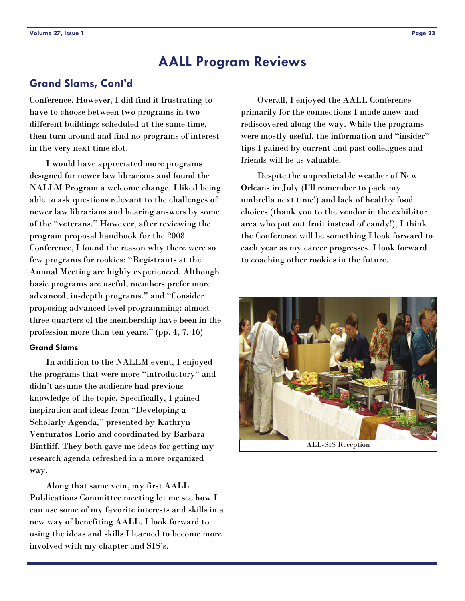# <span id="page-22-0"></span>**Grand Slams, Cont'd**

Conference. However, I did find it frustrating to have to choose between two programs in two different buildings scheduled at the same time, then turn around and find no programs of interest in the very next time slot.

 I would have appreciated more programs designed for newer law librarians and found the NALLM Program a welcome change. I liked being able to ask questions relevant to the challenges of newer law librarians and hearing answers by some of the "veterans." However, after reviewing the program proposal handbook for the 2008 Conference, I found the reason why there were so few programs for rookies: "Registrants at the Annual Meeting are highly experienced. Although basic programs are useful, members prefer more advanced, in-depth programs." and "Consider proposing advanced level programming: almost three quarters of the membership have been in the profession more than ten years." (pp. 4, 7, 16)

### **Grand Slams**

 In addition to the NALLM event, I enjoyed the programs that were more "introductory" and didn't assume the audience had previous knowledge of the topic. Specifically, I gained inspiration and ideas from "Developing a Scholarly Agenda," presented by Kathryn Venturatos Lorio and coordinated by Barbara Bintliff. They both gave me ideas for getting my research agenda refreshed in a more organized way.

 Along that same vein, my first AALL Publications Committee meeting let me see how I can use some of my favorite interests and skills in a new way of benefiting AALL. I look forward to using the ideas and skills I learned to become more involved with my chapter and SIS's.

 Overall, I enjoyed the AALL Conference primarily for the connections I made anew and rediscovered along the way. While the programs were mostly useful, the information and "insider" tips I gained by current and past colleagues and friends will be as valuable.

 Despite the unpredictable weather of New Orleans in July (I'll remember to pack my umbrella next time!) and lack of healthy food choices (thank you to the vendor in the exhibitor area who put out fruit instead of candy!), I think the Conference will be something I look forward to each year as my career progresses. I look forward to coaching other rookies in the future.



ALL-SIS Reception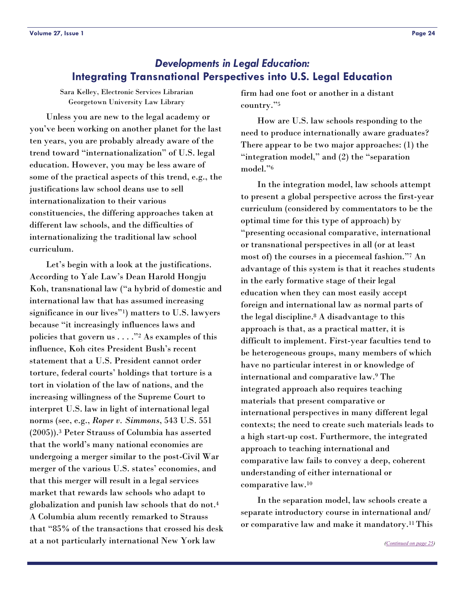<span id="page-23-0"></span>Sara Kelley, Electronic Services Librarian Georgetown University Law Library

 Unless you are new to the legal academy or you've been working on another planet for the last ten years, you are probably already aware of the trend toward "internationalization" of U.S. legal education. However, you may be less aware of some of the practical aspects of this trend, e.g., the justifications law school deans use to sell internationalization to their various constituencies, the differing approaches taken at different law schools, and the difficulties of internationalizing the traditional law school curriculum.

 Let's begin with a look at the justifications. According to Yale Law's Dean Harold Hongju Koh, transnational law ("a hybrid of domestic and international law that has assumed increasing significance in our lives"1) matters to U.S. lawyers because "it increasingly influences laws and policies that govern us  $\ldots$ ."<sup>2</sup> As examples of this influence, Koh cites President Bush's recent statement that a U.S. President cannot order torture, federal courts' holdings that torture is a tort in violation of the law of nations, and the increasing willingness of the Supreme Court to interpret U.S. law in light of international legal norms (see, e.g., *Roper v. Simmons*, 543 U.S. 551 (2005)).3 Peter Strauss of Columbia has asserted that the world's many national economies are undergoing a merger similar to the post-Civil War merger of the various U.S. states' economies, and that this merger will result in a legal services market that rewards law schools who adapt to globalization and punish law schools that do not.4 A Columbia alum recently remarked to Strauss that "85% of the transactions that crossed his desk at a not particularly international New York law

firm had one foot or another in a distant country."5

 How are U.S. law schools responding to the need to produce internationally aware graduates? There appear to be two major approaches: (1) the "integration model," and (2) the "separation model."6

 In the integration model, law schools attempt to present a global perspective across the first-year curriculum (considered by commentators to be the optimal time for this type of approach) by "presenting occasional comparative, international or transnational perspectives in all (or at least most of) the courses in a piecemeal fashion."7 An advantage of this system is that it reaches students in the early formative stage of their legal education when they can most easily accept foreign and international law as normal parts of the legal discipline.8 A disadvantage to this approach is that, as a practical matter, it is difficult to implement. First-year faculties tend to be heterogeneous groups, many members of which have no particular interest in or knowledge of international and comparative law.9 The integrated approach also requires teaching materials that present comparative or international perspectives in many different legal contexts; the need to create such materials leads to a high start-up cost. Furthermore, the integrated approach to teaching international and comparative law fails to convey a deep, coherent understanding of either international or comparative law.10

 In the separation model, law schools create a separate introductory course in international and/ or comparative law and make it mandatory.11 This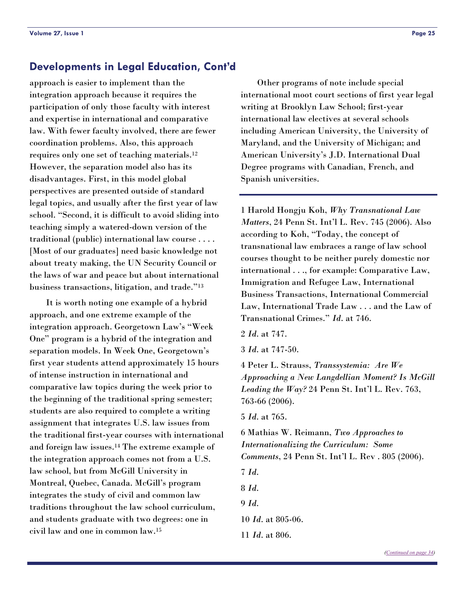# <span id="page-24-0"></span>**Developments in Legal Education, Cont'd**

approach is easier to implement than the integration approach because it requires the participation of only those faculty with interest and expertise in international and comparative law. With fewer faculty involved, there are fewer coordination problems. Also, this approach requires only one set of teaching materials.12 However, the separation model also has its disadvantages. First, in this model global perspectives are presented outside of standard legal topics, and usually after the first year of law school. "Second, it is difficult to avoid sliding into teaching simply a watered-down version of the traditional (public) international law course . . . . [Most of our graduates] need basic knowledge not about treaty making, the UN Security Council or the laws of war and peace but about international business transactions, litigation, and trade."13

 It is worth noting one example of a hybrid approach, and one extreme example of the integration approach. Georgetown Law's "Week One" program is a hybrid of the integration and separation models. In Week One, Georgetown's first year students attend approximately 15 hours of intense instruction in international and comparative law topics during the week prior to the beginning of the traditional spring semester; students are also required to complete a writing assignment that integrates U.S. law issues from the traditional first-year courses with international and foreign law issues.14 The extreme example of the integration approach comes not from a U.S. law school, but from McGill University in Montreal, Quebec, Canada. McGill's program integrates the study of civil and common law traditions throughout the law school curriculum, and students graduate with two degrees: one in civil law and one in common law.15

 Other programs of note include special international moot court sections of first year legal writing at Brooklyn Law School; first-year international law electives at several schools including American University, the University of Maryland, and the University of Michigan; and American University's J.D. International Dual Degree programs with Canadian, French, and Spanish universities.

1 Harold Hongju Koh, *Why Transnational Law Matters*, 24 Penn St. Int'l L. Rev. 745 (2006). Also according to Koh, "Today, the concept of transnational law embraces a range of law school courses thought to be neither purely domestic nor international . . ., for example: Comparative Law, Immigration and Refugee Law, International Business Transactions, International Commercial Law, International Trade Law . . . and the Law of Transnational Crimes." *Id*. at 746.

- 2 *Id*. at 747.
- 3 *Id*. at 747-50.

4 Peter L. Strauss, *Transsystemia: Are We Approaching a New Langdellian Moment? Is McGill Leading the Way?* 24 Penn St. Int'l L. Rev. 763, 763-66 (2006).

5 *Id*. at 765.

6 Mathias W. Reimann, *Two Approaches to Internationalizing the Curriculum: Some Comments*, 24 Penn St. Int'l L. Rev . 805 (2006).

7 *Id*.

8 *Id*.

- 9 *Id*.
- 10 *Id*. at 805-06.
- 11 *Id*. at 806.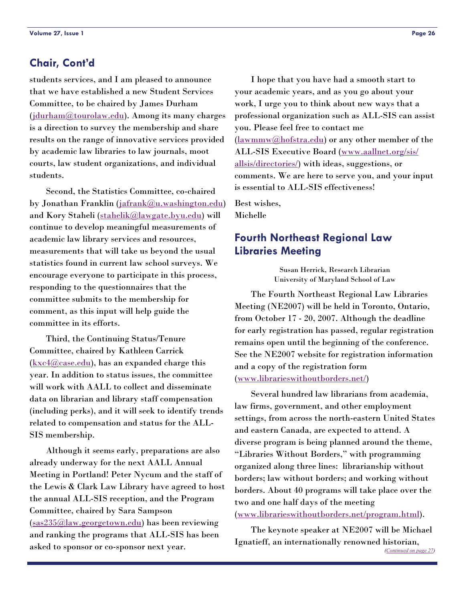# <span id="page-25-0"></span>**Chair, Cont'd**

students services, and I am pleased to announce that we have established a new Student Services Committee, to be chaired by James Durham ([jdurham@tourolaw.edu\)](mailto:jdurham@tourolaw.edu). Among its many charges is a direction to survey the membership and share results on the range of innovative services provided by academic law libraries to law journals, moot courts, law student organizations, and individual students.

 Second, the Statistics Committee, co-chaired by Jonathan Franklin ([jafrank@u.washington.edu\)](mailto:jafrank@u.washington.edu) and Kory Staheli ([stahelik@lawgate.byu.edu\)](mailto:stahelik@lawgate.byu.edu) will continue to develop meaningful measurements of academic law library services and resources, measurements that will take us beyond the usual statistics found in current law school surveys. We encourage everyone to participate in this process, responding to the questionnaires that the committee submits to the membership for comment, as this input will help guide the committee in its efforts.

 Third, the Continuing Status/Tenure Committee, chaired by Kathleen Carrick  $(\underline{kxc4} @ case.edu),$  has an expanded charge this year. In addition to status issues, the committee will work with AALL to collect and disseminate data on librarian and library staff compensation (including perks), and it will seek to identify trends related to compensation and status for the ALL-SIS membership.

 Although it seems early, preparations are also already underway for the next AALL Annual Meeting in Portland! Peter Nycum and the staff of the Lewis & Clark Law Library have agreed to host the annual ALL-SIS reception, and the Program Committee, chaired by Sara Sampson ([sas235@law.georgetown.edu](mailto:sas235@law.georgetown.edu)) has been reviewing and ranking the programs that ALL-SIS has been asked to sponsor or co-sponsor next year.

 I hope that you have had a smooth start to your academic years, and as you go about your work, I urge you to think about new ways that a professional organization such as ALL-SIS can assist you. Please feel free to contact me  $(\frac{lawmmw@hotstra.edu}{\text{ar}~}$  or any other member of the ALL-SIS Executive Board ([www.aallnet.org/sis/](http://www.aallnet.org/sis/allsis/directories/) [allsis/directories/](http://www.aallnet.org/sis/allsis/directories/)) with ideas, suggestions, or comments. We are here to serve you, and your input is essential to ALL-SIS effectiveness!

Best wishes, Michelle

# **Fourth Northeast Regional Law Libraries Meeting**

Susan Herrick, Research Librarian University of Maryland School of Law

 The Fourth Northeast Regional Law Libraries Meeting (NE2007) will be held in Toronto, Ontario, from October 17 - 20, 2007. Although the deadline for early registration has passed, regular registration remains open until the beginning of the conference. See the NE2007 website for registration information and a copy of the registration form ([www.librarieswithoutborders.net/](http://www.librarieswithoutborders.net/))

 Several hundred law librarians from academia, law firms, government, and other employment settings, from across the north-eastern United States and eastern Canada, are expected to attend. A diverse program is being planned around the theme, "Libraries Without Borders," with programming organized along three lines: librarianship without borders; law without borders; and working without borders. About 40 programs will take place over the two and one half days of the meeting ([www.librarieswithoutborders.net/program.html](http://www.librarieswithoutborders.net/program.html)).

 The keynote speaker at NE2007 will be Michael Ignatieff, an internationally renowned historian, *[\(Continued on page 27\)](#page-26-0)*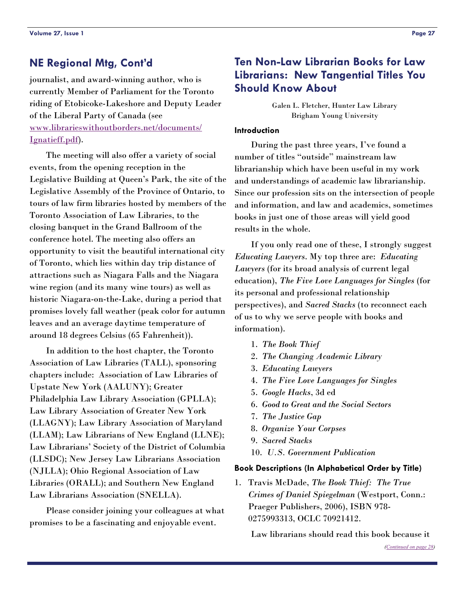# <span id="page-26-0"></span>**NE Regional Mtg, Cont'd**

journalist, and award-winning author, who is currently Member of Parliament for the Toronto riding of Etobicoke-Lakeshore and Deputy Leader of the Liberal Party of Canada (see [www.librarieswithoutborders.net/documents/](http://www.librarieswithoutborders.net/documents/Ignatieff.pdf) [Ignatieff.pdf\)](http://www.librarieswithoutborders.net/documents/Ignatieff.pdf).

 The meeting will also offer a variety of social events, from the opening reception in the Legislative Building at Queen's Park, the site of the Legislative Assembly of the Province of Ontario, to tours of law firm libraries hosted by members of the Toronto Association of Law Libraries, to the closing banquet in the Grand Ballroom of the conference hotel. The meeting also offers an opportunity to visit the beautiful international city of Toronto, which lies within day trip distance of attractions such as Niagara Falls and the Niagara wine region (and its many wine tours) as well as historic Niagara-on-the-Lake, during a period that promises lovely fall weather (peak color for autumn leaves and an average daytime temperature of around 18 degrees Celsius (65 Fahrenheit)).

 In addition to the host chapter, the Toronto Association of Law Libraries (TALL), sponsoring chapters include: Association of Law Libraries of Upstate New York (AALUNY); Greater Philadelphia Law Library Association (GPLLA); Law Library Association of Greater New York (LLAGNY); Law Library Association of Maryland (LLAM); Law Librarians of New England (LLNE); Law Librarians' Society of the District of Columbia (LLSDC); New Jersey Law Librarians Association (NJLLA); Ohio Regional Association of Law Libraries (ORALL); and Southern New England Law Librarians Association (SNELLA).

 Please consider joining your colleagues at what promises to be a fascinating and enjoyable event.

# **Ten Non-Law Librarian Books for Law Librarians: New Tangential Titles You Should Know About**

Galen L. Fletcher, Hunter Law Library Brigham Young University

### **Introduction**

 During the past three years, I've found a number of titles "outside" mainstream law librarianship which have been useful in my work and understandings of academic law librarianship. Since our profession sits on the intersection of people and information, and law and academics, sometimes books in just one of those areas will yield good results in the whole.

 If you only read one of these, I strongly suggest *Educating Lawyers*. My top three are: *Educating Lawyers* (for its broad analysis of current legal education), *The Five Love Languages for Singles* (for its personal and professional relationship perspectives), and *Sacred Stacks* (to reconnect each of us to why we serve people with books and information).

- 1. *The Book Thief*
- 2. *The Changing Academic Library*
- 3. *Educating Lawyers*
- 4. *The Five Love Languages for Singles*
- 5. *Google Hacks*, 3d ed
- 6. *Good to Great and the Social Sectors*
- 7. *The Justice Gap*
- 8. *Organize Your Corpses*
- 9. *Sacred Stacks*
- 10. *U.S. Government Publication*

### **Book Descriptions (In Alphabetical Order by Title)**

1. Travis McDade, *The Book Thief: The True Crimes of Daniel Spiegelman* (Westport, Conn.: Praeger Publishers, 2006), ISBN 978- 0275993313, OCLC 70921412.

Law librarians should read this book because it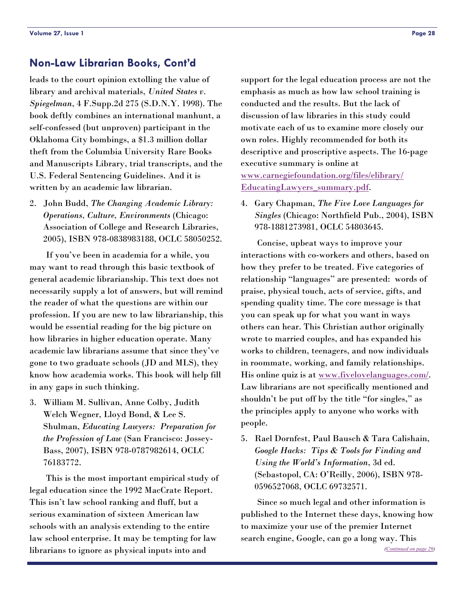# <span id="page-27-0"></span>**Non-Law Librarian Books, Cont'd**

leads to the court opinion extolling the value of library and archival materials, *United States v. Spiegelman*, 4 F.Supp.2d 275 (S.D.N.Y. 1998). The book deftly combines an international manhunt, a self-confessed (but unproven) participant in the Oklahoma City bombings, a \$1.3 million dollar theft from the Columbia University Rare Books and Manuscripts Library, trial transcripts, and the U.S. Federal Sentencing Guidelines. And it is written by an academic law librarian.

2. John Budd, *The Changing Academic Library: Operations, Culture, Environments* (Chicago: Association of College and Research Libraries, 2005), ISBN 978-0838983188, OCLC 58050252.

 If you've been in academia for a while, you may want to read through this basic textbook of general academic librarianship. This text does not necessarily supply a lot of answers, but will remind the reader of what the questions are within our profession. If you are new to law librarianship, this would be essential reading for the big picture on how libraries in higher education operate. Many academic law librarians assume that since they've gone to two graduate schools (JD and MLS), they know how academia works. This book will help fill in any gaps in such thinking.

3. William M. Sullivan, Anne Colby, Judith Welch Wegner, Lloyd Bond, & Lee S. Shulman, *Educating Lawyers: Preparation for the Profession of Law* (San Francisco: Jossey-Bass, 2007), ISBN 978-0787982614, OCLC 76183772.

 This is the most important empirical study of legal education since the 1992 MacCrate Report. This isn't law school ranking and fluff, but a serious examination of sixteen American law schools with an analysis extending to the entire law school enterprise. It may be tempting for law librarians to ignore as physical inputs into and

support for the legal education process are not the emphasis as much as how law school training is conducted and the results. But the lack of discussion of law libraries in this study could motivate each of us to examine more closely our own roles. Highly recommended for both its descriptive and proscriptive aspects. The 16-page executive summary is online at [www.carnegiefoundation.org/files/elibrary/](http://www.carnegiefoundation.org/files/elibrary/EducatingLawyers_summary.pdf) [EducatingLawyers\\_summary.pdf](http://www.carnegiefoundation.org/files/elibrary/EducatingLawyers_summary.pdf).

4. Gary Chapman, *The Five Love Languages for Singles* (Chicago: Northfield Pub., 2004), ISBN 978-1881273981, OCLC 54803645.

 Concise, upbeat ways to improve your interactions with co-workers and others, based on how they prefer to be treated. Five categories of relationship "languages" are presented: words of praise, physical touch, acts of service, gifts, and spending quality time. The core message is that you can speak up for what you want in ways others can hear. This Christian author originally wrote to married couples, and has expanded his works to children, teenagers, and now individuals in roommate, working, and family relationships. His online quiz is at [www.fivelovelanguages.com/.](http://www.fivelovelanguages.com/) Law librarians are not specifically mentioned and shouldn't be put off by the title "for singles," as the principles apply to anyone who works with people.

5. Rael Dornfest, Paul Bausch & Tara Calishain, *Google Hacks: Tips & Tools for Finding and Using the World's Information*, 3d ed. (Sebastopol, CA: O'Reilly, 2006), ISBN 978- 0596527068, OCLC 69732571.

 Since so much legal and other information is published to the Internet these days, knowing how to maximize your use of the premier Internet search engine, Google, can go a long way. This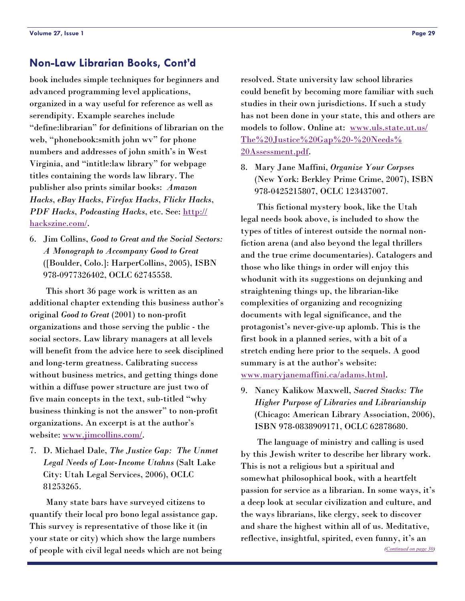# <span id="page-28-0"></span>**Non-Law Librarian Books, Cont'd**

book includes simple techniques for beginners and advanced programming level applications, organized in a way useful for reference as well as serendipity. Example searches include "define:librarian" for definitions of librarian on the web, "phonebook:smith john wv" for phone numbers and addresses of john smith's in West Virginia, and "intitle:law library" for webpage titles containing the words law library. The publisher also prints similar books: *Amazon Hacks*, *eBay Hacks*, *Firefox Hacks*, *Flickr Hacks*, *PDF Hacks*, *Podcasting Hacks*, etc. See: [http://](http://hackszine.com/) [hackszine.com/.](http://hackszine.com/)

6. Jim Collins, *Good to Great and the Social Sectors: A Monograph to Accompany Good to Great* ([Boulder, Colo.]: HarperCollins, 2005), ISBN 978-0977326402, OCLC 62745558.

 This short 36 page work is written as an additional chapter extending this business author's original *Good to Great* (2001) to non-profit organizations and those serving the public - the social sectors. Law library managers at all levels will benefit from the advice here to seek disciplined and long-term greatness. Calibrating success without business metrics, and getting things done within a diffuse power structure are just two of five main concepts in the text, sub-titled "why business thinking is not the answer" to non-profit organizations. An excerpt is at the author's website: [www.jimcollins.com/](http://www.jimcollins.com/).

7. D. Michael Dale, *The Justice Gap: The Unmet Legal Needs of Low-Income Utahns* (Salt Lake City: Utah Legal Services, 2006), OCLC 81253265.

 Many state bars have surveyed citizens to quantify their local pro bono legal assistance gap. This survey is representative of those like it (in your state or city) which show the large numbers of people with civil legal needs which are not being resolved. State university law school libraries could benefit by becoming more familiar with such studies in their own jurisdictions. If such a study has not been done in your state, this and others are models to follow. Online at: [www.uls.state.ut.us/](http://www.uls.state.ut.us/The%20Justice%20Gap%20-%20Needs%20Assessment.pdf) [The%20Justice%20Gap%20-%20Needs%](http://www.uls.state.ut.us/The%20Justice%20Gap%20-%20Needs%20Assessment.pdf) [20Assessment.pdf](http://www.uls.state.ut.us/The%20Justice%20Gap%20-%20Needs%20Assessment.pdf).

8. Mary Jane Maffini, *Organize Your Corpses* (New York: Berkley Prime Crime, 2007), ISBN 978-0425215807, OCLC 123437007.

 This fictional mystery book, like the Utah legal needs book above, is included to show the types of titles of interest outside the normal nonfiction arena (and also beyond the legal thrillers and the true crime documentaries). Catalogers and those who like things in order will enjoy this whodunit with its suggestions on dejunking and straightening things up, the librarian-like complexities of organizing and recognizing documents with legal significance, and the protagonist's never-give-up aplomb. This is the first book in a planned series, with a bit of a stretch ending here prior to the sequels. A good summary is at the author's website: [www.maryjanemaffini.ca/adams.html.](http://www.maryjanemaffini.ca/adams.html)

9. Nancy Kalikow Maxwell, *Sacred Stacks: The Higher Purpose of Libraries and Librarianship* (Chicago: American Library Association, 2006), ISBN 978-0838909171, OCLC 62878680.

 The language of ministry and calling is used by this Jewish writer to describe her library work. This is not a religious but a spiritual and somewhat philosophical book, with a heartfelt passion for service as a librarian. In some ways, it's a deep look at secular civilization and culture, and the ways librarians, like clergy, seek to discover and share the highest within all of us. Meditative, reflective, insightful, spirited, even funny, it's an *[\(Continued on page 30\)](#page-29-0)*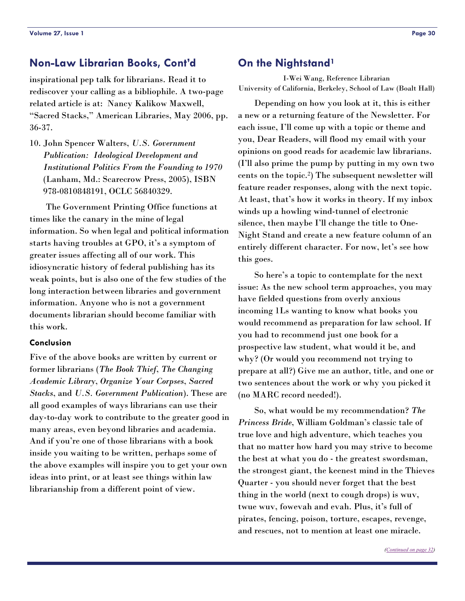# <span id="page-29-0"></span>**Non-Law Librarian Books, Cont'd**

inspirational pep talk for librarians. Read it to rediscover your calling as a bibliophile. A two-page related article is at: Nancy Kalikow Maxwell, "Sacred Stacks," American Libraries, May 2006, pp. 36-37.

10. John Spencer Walters, *U.S. Government Publication: Ideological Development and Institutional Politics From the Founding to 1970* (Lanham, Md.: Scarecrow Press, 2005), ISBN 978-0810848191, OCLC 56840329.

 The Government Printing Office functions at times like the canary in the mine of legal information. So when legal and political information starts having troubles at GPO, it's a symptom of greater issues affecting all of our work. This idiosyncratic history of federal publishing has its weak points, but is also one of the few studies of the long interaction between libraries and government information. Anyone who is not a government documents librarian should become familiar with this work.

### **Conclusion**

Five of the above books are written by current or former librarians (*The Book Thief*, *The Changing Academic Library*, *Organize Your Corpses*, *Sacred Stacks*, and *U.S. Government Publication*). These are all good examples of ways librarians can use their day-to-day work to contribute to the greater good in many areas, even beyond libraries and academia. And if you're one of those librarians with a book inside you waiting to be written, perhaps some of the above examples will inspire you to get your own ideas into print, or at least see things within law librarianship from a different point of view.

### **On the Nightstand1**

I-Wei Wang, Reference Librarian University of California, Berkeley, School of Law (Boalt Hall)

 Depending on how you look at it, this is either a new or a returning feature of the Newsletter. For each issue, I'll come up with a topic or theme and you, Dear Readers, will flood my email with your opinions on good reads for academic law librarians. (I'll also prime the pump by putting in my own two cents on the topic.2) The subsequent newsletter will feature reader responses, along with the next topic. At least, that's how it works in theory. If my inbox winds up a howling wind-tunnel of electronic silence, then maybe I'll change the title to One-Night Stand and create a new feature column of an entirely different character. For now, let's see how this goes.

 So here's a topic to contemplate for the next issue: As the new school term approaches, you may have fielded questions from overly anxious incoming 1Ls wanting to know what books you would recommend as preparation for law school. If you had to recommend just one book for a prospective law student, what would it be, and why? (Or would you recommend not trying to prepare at all?) Give me an author, title, and one or two sentences about the work or why you picked it (no MARC record needed!).

 So, what would be my recommendation? *The Princess Bride*, William Goldman's classic tale of true love and high adventure, which teaches you that no matter how hard you may strive to become the best at what you do - the greatest swordsman, the strongest giant, the keenest mind in the Thieves Quarter - you should never forget that the best thing in the world (next to cough drops) is wuv, twue wuv, fowevah and evah. Plus, it's full of pirates, fencing, poison, torture, escapes, revenge, and rescues, not to mention at least one miracle.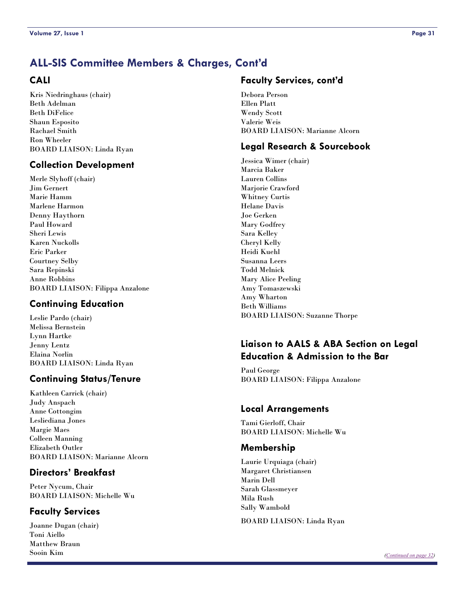# <span id="page-30-0"></span>**ALL-SIS Committee Members & Charges, Cont'd**

### **CALI**

Kris Niedringhaus (chair) Beth Adelman Beth DiFelice Shaun Esposito Rachael Smith Ron Wheeler BOARD LIAISON: Linda Ryan

### **Collection Development**

Merle Slyhoff (chair) Jim Gernert Marie Hamm Marlene Harmon Denny Haythorn Paul Howard Sheri Lewis Karen Nuckolls Eric Parker Courtney Selby Sara Repinski Anne Robbins BOARD LIAISON: Filippa Anzalone

### **Continuing Education**

Leslie Pardo (chair) Melissa Bernstein Lynn Hartke Jenny Lentz Elaina Norlin BOARD LIAISON: Linda Ryan

### **Continuing Status/Tenure**

Kathleen Carrick (chair) Judy Anspach Anne Cottongim Lesliediana Jones Margie Maes Colleen Manning Elizabeth Outler BOARD LIAISON: Marianne Alcorn

### **Directors' Breakfast**

Peter Nycum, Chair BOARD LIAISON: Michelle Wu

### **Faculty Services**

Joanne Dugan (chair) Toni Aiello Matthew Braun Sooin Kim

### **Faculty Services, cont'd**

Debora Person Ellen Platt Wendy Scott Valerie Weis BOARD LIAISON: Marianne Alcorn

### **Legal Research & Sourcebook**

Jessica Wimer (chair) Marcia Baker Lauren Collins Marjorie Crawford Whitney Curtis Helane Davis Joe Gerken Mary Godfrey Sara Kelley Cheryl Kelly Heidi Kuehl Susanna Leers Todd Melnick Mary Alice Peeling Amy Tomaszewski Amy Wharton Beth Williams BOARD LIAISON: Suzanne Thorpe

# **Liaison to AALS & ABA Section on Legal Education & Admission to the Bar**

Paul George BOARD LIAISON: Filippa Anzalone

### **Local Arrangements**

Tami Gierloff, Chair BOARD LIAISON: Michelle Wu

### **Membership**

Laurie Urquiaga (chair) Margaret Christiansen Marin Dell Sarah Glassmeyer Mila Rush Sally Wambold

BOARD LIAISON: Linda Ryan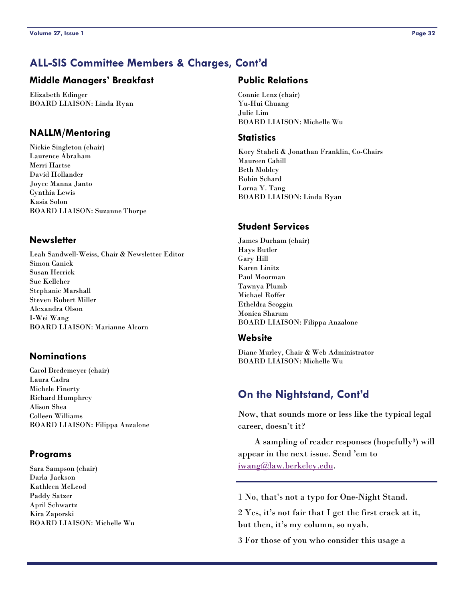# <span id="page-31-0"></span>**ALL-SIS Committee Members & Charges, Cont'd**

### **Middle Managers' Breakfast**

Elizabeth Edinger BOARD LIAISON: Linda Ryan

### **NALLM/Mentoring**

Nickie Singleton (chair) Laurence Abraham Merri Hartse David Hollander Joyce Manna Janto Cynthia Lewis Kasia Solon BOARD LIAISON: Suzanne Thorpe

### **Newsletter**

Leah Sandwell-Weiss, Chair & Newsletter Editor Simon Canick Susan Herrick Sue Kelleher Stephanie Marshall Steven Robert Miller Alexandra Olson I-Wei Wang BOARD LIAISON: Marianne Alcorn

### **Nominations**

Carol Bredemeyer (chair) Laura Cadra Michele Finerty Richard Humphrey Alison Shea Colleen Williams BOARD LIAISON: Filippa Anzalone

### **Programs**

Sara Sampson (chair) Darla Jackson Kathleen McLeod Paddy Satzer April Schwartz Kira Zaporski BOARD LIAISON: Michelle Wu

### **Public Relations**

Connie Lenz (chair) Yu-Hui Chuang Julie Lim BOARD LIAISON: Michelle Wu

### **Statistics**

Kory Staheli & Jonathan Franklin, Co-Chairs Maureen Cahill Beth Mobley Robin Schard Lorna Y. Tang BOARD LIAISON: Linda Ryan

### **Student Services**

James Durham (chair) Hays Butler Gary Hill Karen Linitz Paul Moorman Tawnya Plumb Michael Roffer Etheldra Scoggin Monica Sharum BOARD LIAISON: Filippa Anzalone

### **Website**

Diane Murley, Chair & Web Administrator BOARD LIAISON: Michelle Wu

# **On the Nightstand, Cont'd**

Now, that sounds more or less like the typical legal career, doesn't it?

 A sampling of reader responses (hopefully3) will appear in the next issue. Send 'em to [iwang@law.berkeley.edu](mailto:iwang@law.berkeley.edu).

1 No, that's not a typo for One-Night Stand.

2 Yes, it's not fair that I get the first crack at it, but then, it's my column, so nyah.

3 For those of you who consider this usage a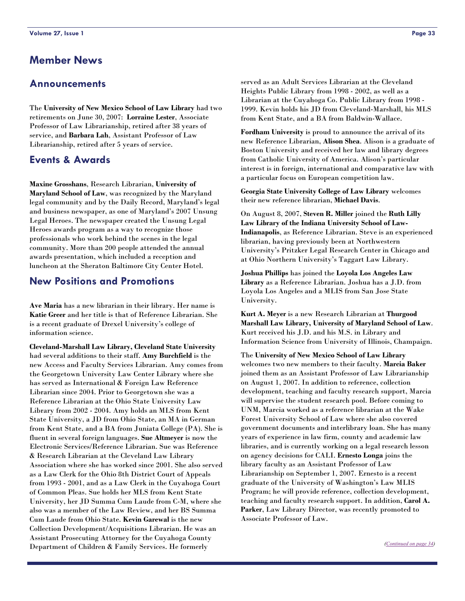# <span id="page-32-0"></span>**Member News**

### **Announcements**

The **University of New Mexico School of Law Library** had two retirements on June 30, 2007: **Lorraine Lester**, Associate Professor of Law Librarianship, retired after 38 years of service, and **Barbara Lah**, Assistant Professor of Law Librarianship, retired after 5 years of service.

### **Events & Awards**

**Maxine Grosshans**, Research Librarian, **University of Maryland School of Law**, was recognized by the Maryland legal community and by the Daily Record, Maryland's legal and business newspaper, as one of Maryland's 2007 Unsung Legal Heroes. The newspaper created the Unsung Legal Heroes awards program as a way to recognize those professionals who work behind the scenes in the legal community. More than 200 people attended the annual awards presentation, which included a reception and luncheon at the Sheraton Baltimore City Center Hotel.

### **New Positions and Promotions**

**Ave Maria** has a new librarian in their library. Her name is **Katie Greer** and her title is that of Reference Librarian. She is a recent graduate of Drexel University's college of information science.

**Cleveland-Marshall Law Library, Cleveland State University** had several additions to their staff. **Amy Burchfield** is the new Access and Faculty Services Librarian. Amy comes from the Georgetown University Law Center Library where she has served as International & Foreign Law Reference Librarian since 2004. Prior to Georgetown she was a Reference Librarian at the Ohio State University Law Library from 2002 - 2004. Amy holds an MLS from Kent State University, a JD from Ohio State, an MA in German from Kent State, and a BA from Juniata College (PA). She is fluent in several foreign languages. **Sue Altmeyer** is now the Electronic Services/Reference Librarian. Sue was Reference & Research Librarian at the Cleveland Law Library Association where she has worked since 2001. She also served as a Law Clerk for the Ohio 8th District Court of Appeals from 1993 - 2001, and as a Law Clerk in the Cuyahoga Court of Common Pleas. Sue holds her MLS from Kent State University, her JD Summa Cum Laude from C-M, where she also was a member of the Law Review, and her BS Summa Cum Laude from Ohio State. **Kevin Garewal** is the new Collection Development/Acquisitions Librarian. He was an Assistant Prosecuting Attorney for the Cuyahoga County Department of Children & Family Services. He formerly

served as an Adult Services Librarian at the Cleveland Heights Public Library from 1998 - 2002, as well as a Librarian at the Cuyahoga Co. Public Library from 1998 - 1999. Kevin holds his JD from Cleveland-Marshall, his MLS from Kent State, and a BA from Baldwin-Wallace.

**Fordham University** is proud to announce the arrival of its new Reference Librarian, **Alison Shea**. Alison is a graduate of Boston University and received her law and library degrees from Catholic University of America. Alison's particular interest is in foreign, international and comparative law with a particular focus on European competition law.

**Georgia State University College of Law Library** welcomes their new reference librarian, **Michael Davis**.

On August 8, 2007, **Steven R. Miller** joined the **Ruth Lilly Law Library of the Indiana University School of Law-Indianapolis**, as Reference Librarian. Steve is an experienced librarian, having previously been at Northwestern University's Pritzker Legal Research Center in Chicago and at Ohio Northern University's Taggart Law Library.

**Joshua Phillips** has joined the **Loyola Los Angeles Law Library** as a Reference Librarian. Joshua has a J.D. from Loyola Los Angeles and a MLIS from San Jose State University.

**Kurt A. Meyer** is a new Research Librarian at **Thurgood Marshall Law Library, University of Maryland School of Law**. Kurt received his J.D. and his M.S. in Library and Information Science from University of Illinois, Champaign.

The **University of New Mexico School of Law Library** welcomes two new members to their faculty. **Marcia Baker** joined them as an Assistant Professor of Law Librarianship on August 1, 2007. In addition to reference, collection development, teaching and faculty research support, Marcia will supervise the student research pool. Before coming to UNM, Marcia worked as a reference librarian at the Wake Forest University School of Law where she also covered government documents and interlibrary loan. She has many years of experience in law firm, county and academic law libraries, and is currently working on a legal research lesson on agency decisions for CALI. **Ernesto Longa** joins the library faculty as an Assistant Professor of Law Librarianship on September 1, 2007. Ernesto is a recent graduate of the University of Washington's Law MLIS Program; he will provide reference, collection development, teaching and faculty research support. In addition, **Carol A. Parker**, Law Library Director, was recently promoted to Associate Professor of Law.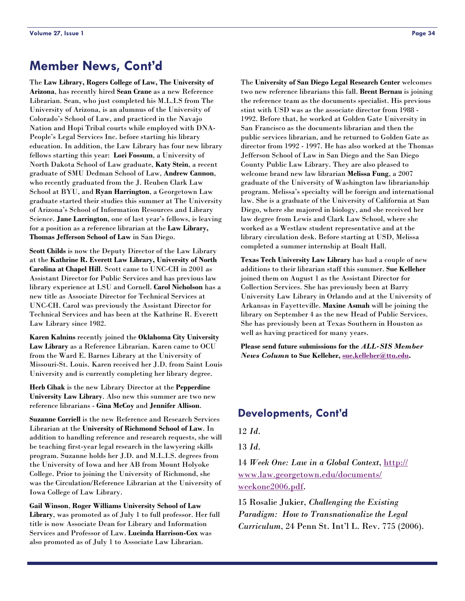# <span id="page-33-0"></span>**Member News, Cont'd**

The **Law Library, Rogers College of Law, The University of Arizona**, has recently hired **Sean Crane** as a new Reference Librarian. Sean, who just completed his M.L.I.S from The University of Arizona, is an alumnus of the University of Colorado's School of Law, and practiced in the Navajo Nation and Hopi Tribal courts while employed with DNA-People's Legal Services Inc. before starting his library education. In addition, the Law Library has four new library fellows starting this year: **Lori Fossum**, a University of North Dakota School of Law graduate, **Katy Stein**, a recent graduate of SMU Dedman School of Law, **Andrew Cannon**, who recently graduated from the J. Reuben Clark Law School at BYU, and **Ryan Harrington**, a Georgetown Law graduate started their studies this summer at The University of Arizona's School of Information Resources and Library Science. **Jane Larrington**, one of last year's fellows, is leaving for a position as a reference librarian at the **Law Library, Thomas Jefferson School of Law** in San Diego.

**Scott Childs** is now the Deputy Director of the Law Library at the **Kathrine R. Everett Law Library, University of North Carolina at Chapel Hill**. Scott came to UNC-CH in 2001 as Assistant Director for Public Services and has previous law library experience at LSU and Cornell. **Carol Nicholson** has a new title as Associate Director for Technical Services at UNC-CH. Carol was previously the Assistant Director for Technical Services and has been at the Kathrine R. Everett Law Library since 1982.

**Karen Kalnins** recently joined the **Oklahoma City University Law Library** as a Reference Librarian. Karen came to OCU from the Ward E. Barnes Library at the University of Missouri-St. Louis. Karen received her J.D. from Saint Louis University and is currently completing her library degree.

**Herb Cihak** is the new Library Director at the **Pepperdine University Law Library**. Also new this summer are two new reference librarians - **Gina McCoy** and **Jennifer Allison**.

**Suzanne Corriell** is the new Reference and Research Services Librarian at the **University of Richmond School of Law**. In addition to handling reference and research requests, she will be teaching first-year legal research in the lawyering skills program. Suzanne holds her J.D. and M.L.I.S. degrees from the University of Iowa and her AB from Mount Holyoke College. Prior to joining the University of Richmond, she was the Circulation/Reference Librarian at the University of Iowa College of Law Library.

**Gail Winson**, **Roger Williams University School of Law Library**, was promoted as of July 1 to full professor. Her full title is now Associate Dean for Library and Information Services and Professor of Law. **Lucinda Harrison-Cox** was also promoted as of July 1 to Associate Law Librarian.

The **University of San Diego Legal Research Center** welcomes two new reference librarians this fall. **Brent Bernau** is joining the reference team as the documents specialist. His previous stint with USD was as the associate director from 1988 - 1992. Before that, he worked at Golden Gate University in San Francisco as the documents librarian and then the public services librarian, and he returned to Golden Gate as director from 1992 - 1997. He has also worked at the Thomas Jefferson School of Law in San Diego and the San Diego County Public Law Library. They are also pleased to welcome brand new law librarian **Melissa Fung**, a 2007 graduate of the University of Washington law librarianship program. Melissa's specialty will be foreign and international law. She is a graduate of the University of California at San Diego, where she majored in biology, and she received her law degree from Lewis and Clark Law School, where she worked as a Westlaw student representative and at the library circulation desk. Before starting at USD, Melissa completed a summer internship at Boalt Hall.

**Texas Tech University Law Library** has had a couple of new additions to their librarian staff this summer. **Sue Kelleher** joined them on August 1 as the Assistant Director for Collection Services. She has previously been at Barry University Law Library in Orlando and at the University of Arkansas in Fayetteville. **Maxine Asmah** will be joining the library on September 4 as the new Head of Public Services. She has previously been at Texas Southern in Houston as well as having practiced for many years.

**Please send future submissions for the** *ALL-SIS Member News Column* **to Sue Kelleher, [sue.kelleher@ttu.edu](mailto:sue.kelleher@ttu.edu).** 

### **Developments, Cont'd**

12 *Id*.

13 *Id*.

14 *Week One: Law in a Global Context*, [http://](http://www.law.georgetown.edu/documents/weekone2006.pdf) [www.law.georgetown.edu/documents/](http://www.law.georgetown.edu/documents/weekone2006.pdf) [weekone2006.pdf](http://www.law.georgetown.edu/documents/weekone2006.pdf).

15 Rosalie Jukier, *Challenging the Existing Paradigm: How to Transnationalize the Legal Curriculum*, 24 Penn St. Int'l L. Rev. 775 (2006).